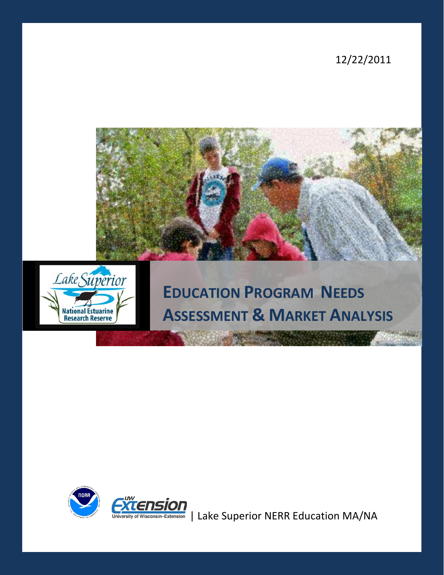12/22/2011





# **EDUCATION PROGRAM NEEDS ASSESSMENT & MARKET ANALYSIS**



GATENSION<br>University of Wisconsin-Extension | Lake Superior NERR Education MA/NA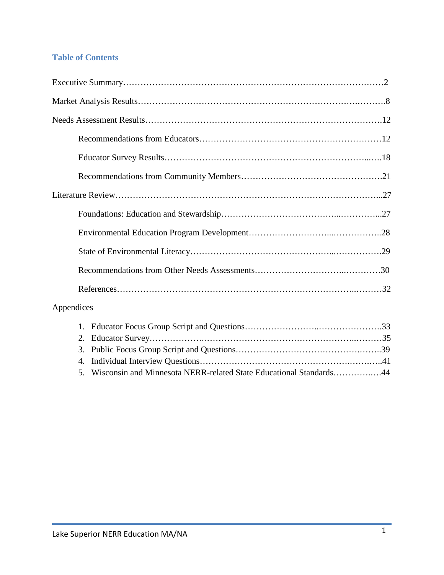# **Table of Contents**

| Appendices |                     |  |
|------------|---------------------|--|
|            | $1_{-}$<br>2.<br>3. |  |

5. Wisconsin and Minnesota NERR-related State Educational Standards………….….44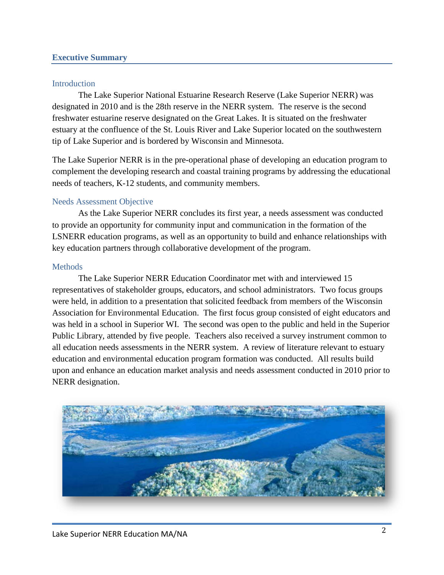#### **Executive Summary**

#### Introduction

The Lake Superior National Estuarine Research Reserve (Lake Superior NERR) was designated in 2010 and is the 28th reserve in the NERR system. The reserve is the second freshwater estuarine reserve designated on the Great Lakes. It is situated on the freshwater estuary at the confluence of the St. Louis River and Lake Superior located on the southwestern tip of Lake Superior and is bordered by Wisconsin and Minnesota.

The Lake Superior NERR is in the pre-operational phase of developing an education program to complement the developing research and coastal training programs by addressing the educational needs of teachers, K-12 students, and community members.

#### Needs Assessment Objective

As the Lake Superior NERR concludes its first year, a needs assessment was conducted to provide an opportunity for community input and communication in the formation of the LSNERR education programs, as well as an opportunity to build and enhance relationships with key education partners through collaborative development of the program.

#### **Methods**

The Lake Superior NERR Education Coordinator met with and interviewed 15 representatives of stakeholder groups, educators, and school administrators. Two focus groups were held, in addition to a presentation that solicited feedback from members of the Wisconsin Association for Environmental Education. The first focus group consisted of eight educators and was held in a school in Superior WI. The second was open to the public and held in the Superior Public Library, attended by five people. Teachers also received a survey instrument common to all education needs assessments in the NERR system. A review of literature relevant to estuary education and environmental education program formation was conducted. All results build upon and enhance an education market analysis and needs assessment conducted in 2010 prior to NERR designation.

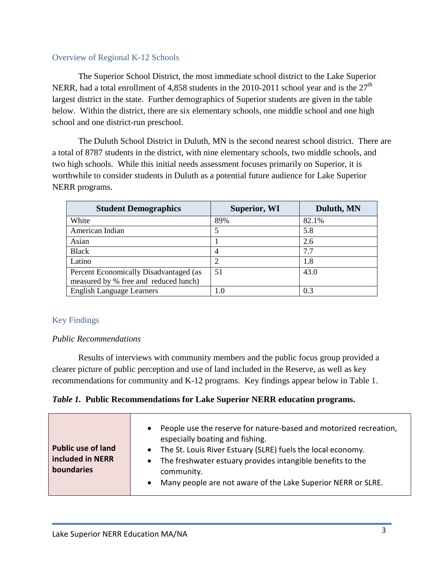#### Overview of Regional K-12 Schools

The Superior School District, the most immediate school district to the Lake Superior NERR, had a total enrollment of 4,858 students in the 2010-2011 school year and is the  $27<sup>th</sup>$ largest district in the state. Further demographics of Superior students are given in the table below. Within the district, there are six elementary schools, one middle school and one high school and one district-run preschool.

The Duluth School District in Duluth, MN is the second nearest school district. There are a total of 8787 students in the district, with nine elementary schools, two middle schools, and two high schools. While this initial needs assessment focuses primarily on Superior, it is worthwhile to consider students in Duluth as a potential future audience for Lake Superior NERR programs.

| <b>Student Demographics</b>            | <b>Superior, WI</b> | Duluth, MN |
|----------------------------------------|---------------------|------------|
| White                                  | 89%                 | 82.1%      |
| American Indian                        | 5                   | 5.8        |
| Asian                                  |                     | 2.6        |
| <b>Black</b>                           | 4                   | 7.7        |
| Latino                                 | 2                   | 1.8        |
| Percent Economically Disadvantaged (as | 51                  | 43.0       |
| measured by % free and reduced lunch)  |                     |            |
| <b>English Language Learners</b>       | 1.0                 | 0.3        |

## Key Findings

#### *Public Recommendations*

Results of interviews with community members and the public focus group provided a clearer picture of public perception and use of land included in the Reserve, as well as key recommendations for community and K-12 programs. Key findings appear below in Table 1.

## *Table 1.* **Public Recommendations for Lake Superior NERR education programs.**

| <b>Public use of land</b><br>included in NERR<br>boundaries | People use the reserve for nature-based and motorized recreation,<br>$\bullet$<br>especially boating and fishing.<br>• The St. Louis River Estuary (SLRE) fuels the local economy.<br>• The freshwater estuary provides intangible benefits to the<br>community.<br>Many people are not aware of the Lake Superior NERR or SLRE.<br>$\bullet$ |
|-------------------------------------------------------------|-----------------------------------------------------------------------------------------------------------------------------------------------------------------------------------------------------------------------------------------------------------------------------------------------------------------------------------------------|
|-------------------------------------------------------------|-----------------------------------------------------------------------------------------------------------------------------------------------------------------------------------------------------------------------------------------------------------------------------------------------------------------------------------------------|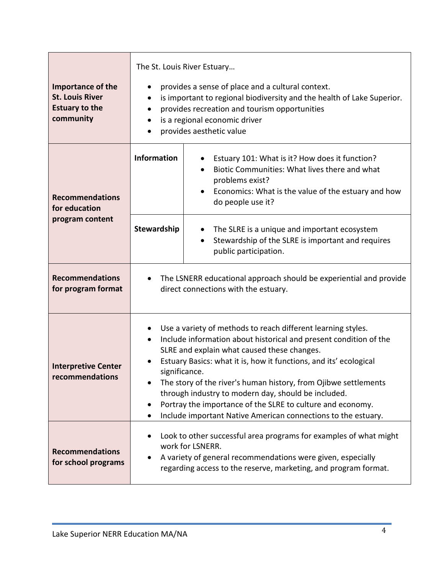| Importance of the<br><b>St. Louis River</b><br><b>Estuary to the</b><br>community | The St. Louis River Estuary<br>provides a sense of place and a cultural context.<br>is important to regional biodiversity and the health of Lake Superior.<br>provides recreation and tourism opportunities<br>is a regional economic driver<br>provides aesthetic value                                                                                                                                                                                                                                                                     |                                                                                                                                                                                                |  |
|-----------------------------------------------------------------------------------|----------------------------------------------------------------------------------------------------------------------------------------------------------------------------------------------------------------------------------------------------------------------------------------------------------------------------------------------------------------------------------------------------------------------------------------------------------------------------------------------------------------------------------------------|------------------------------------------------------------------------------------------------------------------------------------------------------------------------------------------------|--|
| <b>Recommendations</b><br>for education                                           | <b>Information</b>                                                                                                                                                                                                                                                                                                                                                                                                                                                                                                                           | Estuary 101: What is it? How does it function?<br>Biotic Communities: What lives there and what<br>problems exist?<br>Economics: What is the value of the estuary and how<br>do people use it? |  |
| program content                                                                   | Stewardship                                                                                                                                                                                                                                                                                                                                                                                                                                                                                                                                  | The SLRE is a unique and important ecosystem<br>$\bullet$<br>Stewardship of the SLRE is important and requires<br>public participation.                                                        |  |
| <b>Recommendations</b><br>for program format                                      | The LSNERR educational approach should be experiential and provide<br>direct connections with the estuary.                                                                                                                                                                                                                                                                                                                                                                                                                                   |                                                                                                                                                                                                |  |
| <b>Interpretive Center</b><br>recommendations                                     | Use a variety of methods to reach different learning styles.<br>Include information about historical and present condition of the<br>$\bullet$<br>SLRE and explain what caused these changes.<br>Estuary Basics: what it is, how it functions, and its' ecological<br>significance.<br>The story of the river's human history, from Ojibwe settlements<br>through industry to modern day, should be included.<br>Portray the importance of the SLRE to culture and economy.<br>Include important Native American connections to the estuary. |                                                                                                                                                                                                |  |
| <b>Recommendations</b><br>for school programs                                     | Look to other successful area programs for examples of what might<br>work for LSNERR.<br>A variety of general recommendations were given, especially<br>regarding access to the reserve, marketing, and program format.                                                                                                                                                                                                                                                                                                                      |                                                                                                                                                                                                |  |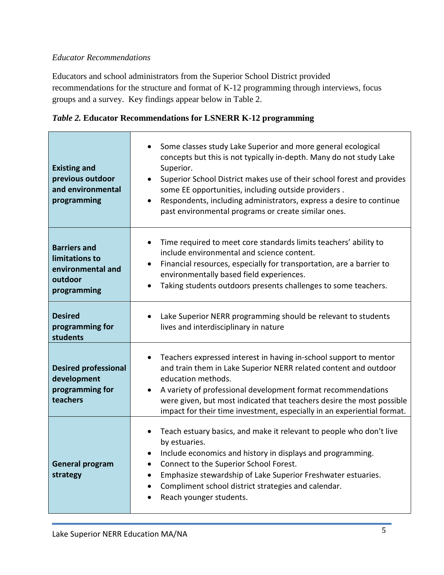# *Educator Recommendations*

Educators and school administrators from the Superior School District provided recommendations for the structure and format of K-12 programming through interviews, focus groups and a survey. Key findings appear below in Table 2.

|  | Table 2. Educator Recommendations for LSNERR K-12 programming |  |  |
|--|---------------------------------------------------------------|--|--|
|  |                                                               |  |  |

| <b>Existing and</b><br>previous outdoor<br>and environmental<br>programming          | Some classes study Lake Superior and more general ecological<br>concepts but this is not typically in-depth. Many do not study Lake<br>Superior.<br>Superior School District makes use of their school forest and provides<br>$\bullet$<br>some EE opportunities, including outside providers.<br>Respondents, including administrators, express a desire to continue<br>$\bullet$<br>past environmental programs or create similar ones. |
|--------------------------------------------------------------------------------------|-------------------------------------------------------------------------------------------------------------------------------------------------------------------------------------------------------------------------------------------------------------------------------------------------------------------------------------------------------------------------------------------------------------------------------------------|
| <b>Barriers and</b><br>limitations to<br>environmental and<br>outdoor<br>programming | Time required to meet core standards limits teachers' ability to<br>include environmental and science content.<br>Financial resources, especially for transportation, are a barrier to<br>environmentally based field experiences.<br>Taking students outdoors presents challenges to some teachers.                                                                                                                                      |
| <b>Desired</b><br>programming for<br>students                                        | Lake Superior NERR programming should be relevant to students<br>lives and interdisciplinary in nature                                                                                                                                                                                                                                                                                                                                    |
| <b>Desired professional</b><br>development<br>programming for<br>teachers            | Teachers expressed interest in having in-school support to mentor<br>$\bullet$<br>and train them in Lake Superior NERR related content and outdoor<br>education methods.<br>A variety of professional development format recommendations<br>were given, but most indicated that teachers desire the most possible<br>impact for their time investment, especially in an experiential format.                                              |
| <b>General program</b><br>strategy                                                   | Teach estuary basics, and make it relevant to people who don't live<br>$\bullet$<br>by estuaries.<br>Include economics and history in displays and programming.<br>$\bullet$<br>Connect to the Superior School Forest.<br>Emphasize stewardship of Lake Superior Freshwater estuaries.<br>Compliment school district strategies and calendar.<br>$\bullet$<br>Reach younger students.                                                     |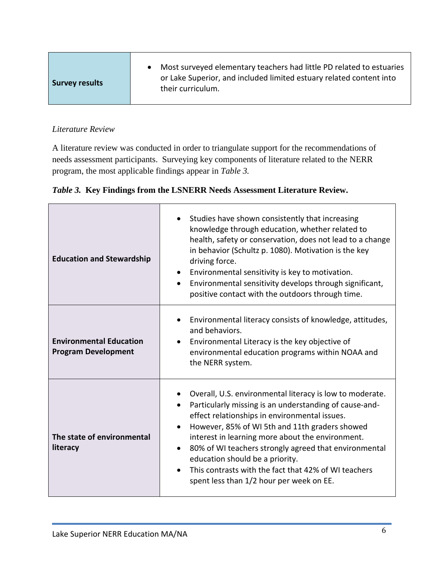| <b>Survey results</b> | • Most surveyed elementary teachers had little PD related to estuaries<br>or Lake Superior, and included limited estuary related content into<br>their curriculum. |
|-----------------------|--------------------------------------------------------------------------------------------------------------------------------------------------------------------|
|-----------------------|--------------------------------------------------------------------------------------------------------------------------------------------------------------------|

## *Literature Review*

A literature review was conducted in order to triangulate support for the recommendations of needs assessment participants. Surveying key components of literature related to the NERR program, the most applicable findings appear in *Table 3.*

# *Table 3.* **Key Findings from the LSNERR Needs Assessment Literature Review.**

| <b>Education and Stewardship</b>                             | Studies have shown consistently that increasing<br>knowledge through education, whether related to<br>health, safety or conservation, does not lead to a change<br>in behavior (Schultz p. 1080). Motivation is the key<br>driving force.<br>Environmental sensitivity is key to motivation.<br>Environmental sensitivity develops through significant,<br>positive contact with the outdoors through time.                                                               |
|--------------------------------------------------------------|---------------------------------------------------------------------------------------------------------------------------------------------------------------------------------------------------------------------------------------------------------------------------------------------------------------------------------------------------------------------------------------------------------------------------------------------------------------------------|
| <b>Environmental Education</b><br><b>Program Development</b> | Environmental literacy consists of knowledge, attitudes,<br>and behaviors.<br>Environmental Literacy is the key objective of<br>environmental education programs within NOAA and<br>the NERR system.                                                                                                                                                                                                                                                                      |
| The state of environmental<br>literacy                       | Overall, U.S. environmental literacy is low to moderate.<br>Particularly missing is an understanding of cause-and-<br>effect relationships in environmental issues.<br>However, 85% of WI 5th and 11th graders showed<br>interest in learning more about the environment.<br>80% of WI teachers strongly agreed that environmental<br>education should be a priority.<br>This contrasts with the fact that 42% of WI teachers<br>spent less than 1/2 hour per week on EE. |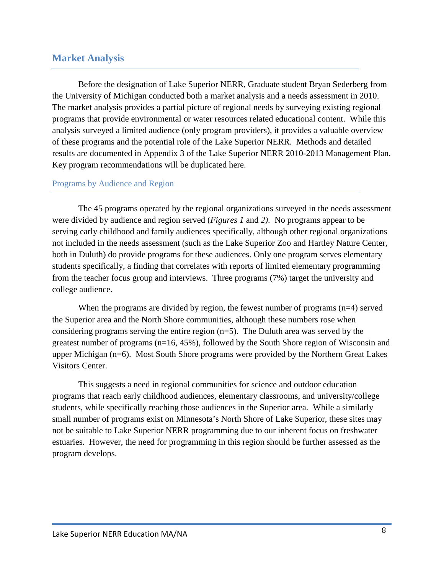# **Market Analysis**

Before the designation of Lake Superior NERR, Graduate student Bryan Sederberg from the University of Michigan conducted both a market analysis and a needs assessment in 2010. The market analysis provides a partial picture of regional needs by surveying existing regional programs that provide environmental or water resources related educational content. While this analysis surveyed a limited audience (only program providers), it provides a valuable overview of these programs and the potential role of the Lake Superior NERR. Methods and detailed results are documented in Appendix 3 of the Lake Superior NERR 2010-2013 Management Plan. Key program recommendations will be duplicated here.

#### Programs by Audience and Region

The 45 programs operated by the regional organizations surveyed in the needs assessment were divided by audience and region served (*Figures 1* and *2)*. No programs appear to be serving early childhood and family audiences specifically, although other regional organizations not included in the needs assessment (such as the Lake Superior Zoo and Hartley Nature Center, both in Duluth) do provide programs for these audiences. Only one program serves elementary students specifically, a finding that correlates with reports of limited elementary programming from the teacher focus group and interviews. Three programs (7%) target the university and college audience.

When the programs are divided by region, the fewest number of programs  $(n=4)$  served the Superior area and the North Shore communities, although these numbers rose when considering programs serving the entire region (n=5). The Duluth area was served by the greatest number of programs (n=16, 45%), followed by the South Shore region of Wisconsin and upper Michigan (n=6). Most South Shore programs were provided by the Northern Great Lakes Visitors Center.

This suggests a need in regional communities for science and outdoor education programs that reach early childhood audiences, elementary classrooms, and university/college students, while specifically reaching those audiences in the Superior area. While a similarly small number of programs exist on Minnesota's North Shore of Lake Superior, these sites may not be suitable to Lake Superior NERR programming due to our inherent focus on freshwater estuaries. However, the need for programming in this region should be further assessed as the program develops.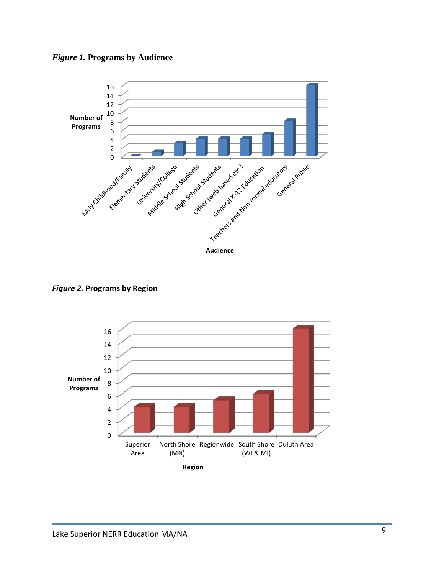



*Figure 2.* **Programs by Region**

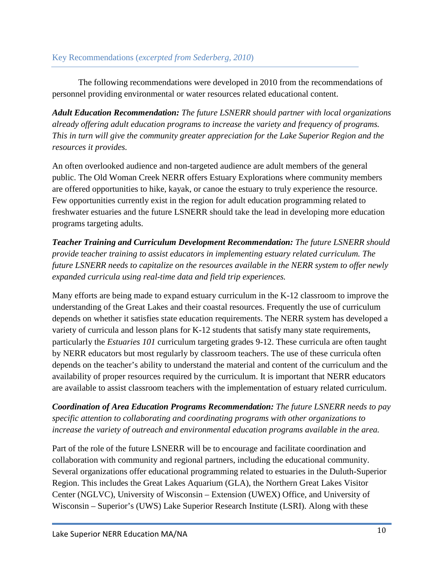The following recommendations were developed in 2010 from the recommendations of personnel providing environmental or water resources related educational content.

*Adult Education Recommendation: The future LSNERR should partner with local organizations already offering adult education programs to increase the variety and frequency of programs. This in turn will give the community greater appreciation for the Lake Superior Region and the resources it provides.*

An often overlooked audience and non-targeted audience are adult members of the general public. The Old Woman Creek NERR offers Estuary Explorations where community members are offered opportunities to hike, kayak, or canoe the estuary to truly experience the resource. Few opportunities currently exist in the region for adult education programming related to freshwater estuaries and the future LSNERR should take the lead in developing more education programs targeting adults.

*Teacher Training and Curriculum Development Recommendation: The future LSNERR should provide teacher training to assist educators in implementing estuary related curriculum. The future LSNERR needs to capitalize on the resources available in the NERR system to offer newly expanded curricula using real-time data and field trip experiences.*

Many efforts are being made to expand estuary curriculum in the K-12 classroom to improve the understanding of the Great Lakes and their coastal resources. Frequently the use of curriculum depends on whether it satisfies state education requirements. The NERR system has developed a variety of curricula and lesson plans for K-12 students that satisfy many state requirements, particularly the *Estuaries 101* curriculum targeting grades 9-12. These curricula are often taught by NERR educators but most regularly by classroom teachers. The use of these curricula often depends on the teacher's ability to understand the material and content of the curriculum and the availability of proper resources required by the curriculum. It is important that NERR educators are available to assist classroom teachers with the implementation of estuary related curriculum.

*Coordination of Area Education Programs Recommendation: The future LSNERR needs to pay specific attention to collaborating and coordinating programs with other organizations to increase the variety of outreach and environmental education programs available in the area.*

Part of the role of the future LSNERR will be to encourage and facilitate coordination and collaboration with community and regional partners, including the educational community. Several organizations offer educational programming related to estuaries in the Duluth-Superior Region. This includes the Great Lakes Aquarium (GLA), the Northern Great Lakes Visitor Center (NGLVC), University of Wisconsin – Extension (UWEX) Office, and University of Wisconsin – Superior's (UWS) Lake Superior Research Institute (LSRI). Along with these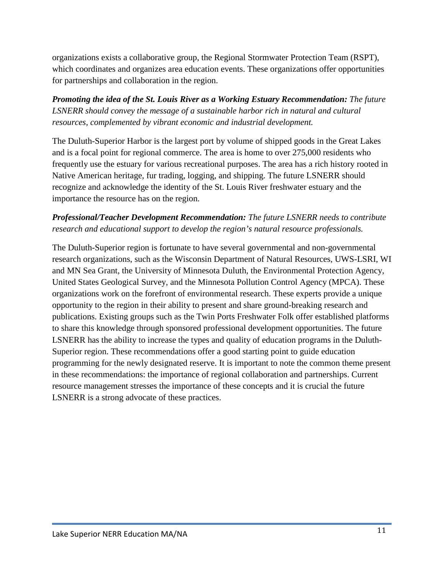organizations exists a collaborative group, the Regional Stormwater Protection Team (RSPT), which coordinates and organizes area education events. These organizations offer opportunities for partnerships and collaboration in the region.

*Promoting the idea of the St. Louis River as a Working Estuary Recommendation: The future LSNERR should convey the message of a sustainable harbor rich in natural and cultural resources, complemented by vibrant economic and industrial development.*

The Duluth-Superior Harbor is the largest port by volume of shipped goods in the Great Lakes and is a focal point for regional commerce. The area is home to over 275,000 residents who frequently use the estuary for various recreational purposes. The area has a rich history rooted in Native American heritage, fur trading, logging, and shipping. The future LSNERR should recognize and acknowledge the identity of the St. Louis River freshwater estuary and the importance the resource has on the region.

# *Professional/Teacher Development Recommendation: The future LSNERR needs to contribute research and educational support to develop the region's natural resource professionals.*

The Duluth-Superior region is fortunate to have several governmental and non-governmental research organizations, such as the Wisconsin Department of Natural Resources, UWS-LSRI, WI and MN Sea Grant, the University of Minnesota Duluth, the Environmental Protection Agency, United States Geological Survey, and the Minnesota Pollution Control Agency (MPCA). These organizations work on the forefront of environmental research. These experts provide a unique opportunity to the region in their ability to present and share ground-breaking research and publications. Existing groups such as the Twin Ports Freshwater Folk offer established platforms to share this knowledge through sponsored professional development opportunities. The future LSNERR has the ability to increase the types and quality of education programs in the Duluth-Superior region. These recommendations offer a good starting point to guide education programming for the newly designated reserve. It is important to note the common theme present in these recommendations: the importance of regional collaboration and partnerships. Current resource management stresses the importance of these concepts and it is crucial the future LSNERR is a strong advocate of these practices.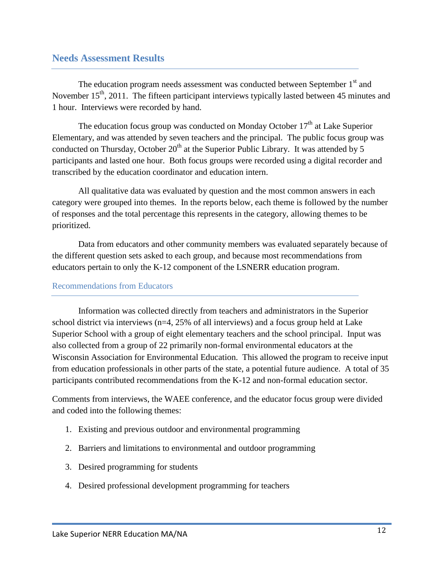# **Needs Assessment Results**

The education program needs assessment was conducted between September  $1<sup>st</sup>$  and November  $15<sup>th</sup>$ , 2011. The fifteen participant interviews typically lasted between 45 minutes and 1 hour. Interviews were recorded by hand.

The education focus group was conducted on Monday October  $17<sup>th</sup>$  at Lake Superior Elementary, and was attended by seven teachers and the principal. The public focus group was conducted on Thursday, October  $20<sup>th</sup>$  at the Superior Public Library. It was attended by 5 participants and lasted one hour. Both focus groups were recorded using a digital recorder and transcribed by the education coordinator and education intern.

All qualitative data was evaluated by question and the most common answers in each category were grouped into themes. In the reports below, each theme is followed by the number of responses and the total percentage this represents in the category, allowing themes to be prioritized.

Data from educators and other community members was evaluated separately because of the different question sets asked to each group, and because most recommendations from educators pertain to only the K-12 component of the LSNERR education program.

#### Recommendations from Educators

Information was collected directly from teachers and administrators in the Superior school district via interviews (n=4, 25% of all interviews) and a focus group held at Lake Superior School with a group of eight elementary teachers and the school principal. Input was also collected from a group of 22 primarily non-formal environmental educators at the Wisconsin Association for Environmental Education. This allowed the program to receive input from education professionals in other parts of the state, a potential future audience. A total of 35 participants contributed recommendations from the K-12 and non-formal education sector.

Comments from interviews, the WAEE conference, and the educator focus group were divided and coded into the following themes:

- 1. Existing and previous outdoor and environmental programming
- 2. Barriers and limitations to environmental and outdoor programming
- 3. Desired programming for students
- 4. Desired professional development programming for teachers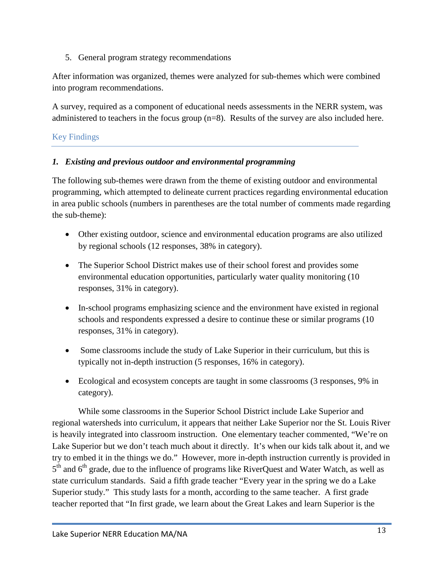5. General program strategy recommendations

After information was organized, themes were analyzed for sub-themes which were combined into program recommendations.

A survey, required as a component of educational needs assessments in the NERR system, was administered to teachers in the focus group (n=8). Results of the survey are also included here.

# Key Findings

# *1. Existing and previous outdoor and environmental programming*

The following sub-themes were drawn from the theme of existing outdoor and environmental programming, which attempted to delineate current practices regarding environmental education in area public schools (numbers in parentheses are the total number of comments made regarding the sub-theme):

- Other existing outdoor, science and environmental education programs are also utilized by regional schools (12 responses, 38% in category).
- The Superior School District makes use of their school forest and provides some environmental education opportunities, particularly water quality monitoring (10 responses, 31% in category).
- In-school programs emphasizing science and the environment have existed in regional schools and respondents expressed a desire to continue these or similar programs (10 responses, 31% in category).
- Some classrooms include the study of Lake Superior in their curriculum, but this is typically not in-depth instruction (5 responses, 16% in category).
- Ecological and ecosystem concepts are taught in some classrooms (3 responses, 9% in category).

While some classrooms in the Superior School District include Lake Superior and regional watersheds into curriculum, it appears that neither Lake Superior nor the St. Louis River is heavily integrated into classroom instruction. One elementary teacher commented, "We're on Lake Superior but we don't teach much about it directly. It's when our kids talk about it, and we try to embed it in the things we do." However, more in-depth instruction currently is provided in  $5<sup>th</sup>$  and  $6<sup>th</sup>$  grade, due to the influence of programs like RiverQuest and Water Watch, as well as state curriculum standards. Said a fifth grade teacher "Every year in the spring we do a Lake Superior study." This study lasts for a month, according to the same teacher. A first grade teacher reported that "In first grade, we learn about the Great Lakes and learn Superior is the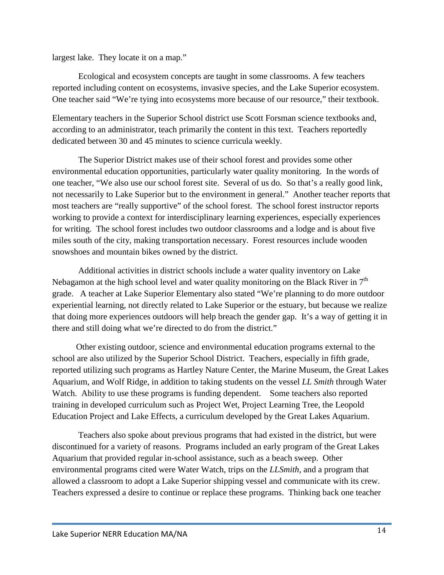largest lake. They locate it on a map."

Ecological and ecosystem concepts are taught in some classrooms. A few teachers reported including content on ecosystems, invasive species, and the Lake Superior ecosystem. One teacher said "We're tying into ecosystems more because of our resource," their textbook.

Elementary teachers in the Superior School district use Scott Forsman science textbooks and, according to an administrator, teach primarily the content in this text. Teachers reportedly dedicated between 30 and 45 minutes to science curricula weekly.

 The Superior District makes use of their school forest and provides some other environmental education opportunities, particularly water quality monitoring. In the words of one teacher, "We also use our school forest site. Several of us do. So that's a really good link, not necessarily to Lake Superior but to the environment in general." Another teacher reports that most teachers are "really supportive" of the school forest. The school forest instructor reports working to provide a context for interdisciplinary learning experiences, especially experiences for writing. The school forest includes two outdoor classrooms and a lodge and is about five miles south of the city, making transportation necessary. Forest resources include wooden snowshoes and mountain bikes owned by the district.

 Additional activities in district schools include a water quality inventory on Lake Nebagamon at the high school level and water quality monitoring on the Black River in  $7<sup>th</sup>$ grade. A teacher at Lake Superior Elementary also stated "We're planning to do more outdoor experiential learning, not directly related to Lake Superior or the estuary, but because we realize that doing more experiences outdoors will help breach the gender gap. It's a way of getting it in there and still doing what we're directed to do from the district."

 Other existing outdoor, science and environmental education programs external to the school are also utilized by the Superior School District. Teachers, especially in fifth grade, reported utilizing such programs as Hartley Nature Center, the Marine Museum, the Great Lakes Aquarium, and Wolf Ridge, in addition to taking students on the vessel *LL Smith* through Water Watch. Ability to use these programs is funding dependent. Some teachers also reported training in developed curriculum such as Project Wet, Project Learning Tree, the Leopold Education Project and Lake Effects, a curriculum developed by the Great Lakes Aquarium.

Teachers also spoke about previous programs that had existed in the district, but were discontinued for a variety of reasons. Programs included an early program of the Great Lakes Aquarium that provided regular in-school assistance, such as a beach sweep. Other environmental programs cited were Water Watch, trips on the *LLSmith*, and a program that allowed a classroom to adopt a Lake Superior shipping vessel and communicate with its crew. Teachers expressed a desire to continue or replace these programs. Thinking back one teacher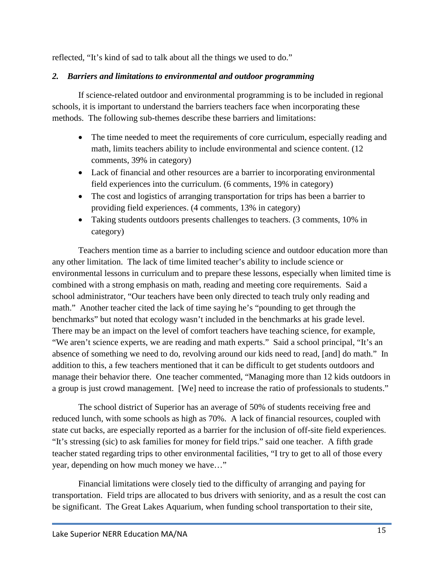reflected, "It's kind of sad to talk about all the things we used to do."

# *2. Barriers and limitations to environmental and outdoor programming*

If science-related outdoor and environmental programming is to be included in regional schools, it is important to understand the barriers teachers face when incorporating these methods. The following sub-themes describe these barriers and limitations:

- The time needed to meet the requirements of core curriculum, especially reading and math, limits teachers ability to include environmental and science content. (12 comments, 39% in category)
- Lack of financial and other resources are a barrier to incorporating environmental field experiences into the curriculum. (6 comments, 19% in category)
- The cost and logistics of arranging transportation for trips has been a barrier to providing field experiences. (4 comments, 13% in category)
- Taking students outdoors presents challenges to teachers. (3 comments, 10% in category)

Teachers mention time as a barrier to including science and outdoor education more than any other limitation. The lack of time limited teacher's ability to include science or environmental lessons in curriculum and to prepare these lessons, especially when limited time is combined with a strong emphasis on math, reading and meeting core requirements. Said a school administrator, "Our teachers have been only directed to teach truly only reading and math." Another teacher cited the lack of time saying he's "pounding to get through the benchmarks" but noted that ecology wasn't included in the benchmarks at his grade level. There may be an impact on the level of comfort teachers have teaching science, for example, "We aren't science experts, we are reading and math experts." Said a school principal, "It's an absence of something we need to do, revolving around our kids need to read, [and] do math." In addition to this, a few teachers mentioned that it can be difficult to get students outdoors and manage their behavior there. One teacher commented, "Managing more than 12 kids outdoors in a group is just crowd management. [We] need to increase the ratio of professionals to students."

The school district of Superior has an average of 50% of students receiving free and reduced lunch, with some schools as high as 70%. A lack of financial resources, coupled with state cut backs, are especially reported as a barrier for the inclusion of off-site field experiences. "It's stressing (sic) to ask families for money for field trips." said one teacher. A fifth grade teacher stated regarding trips to other environmental facilities, "I try to get to all of those every year, depending on how much money we have…"

Financial limitations were closely tied to the difficulty of arranging and paying for transportation. Field trips are allocated to bus drivers with seniority, and as a result the cost can be significant. The Great Lakes Aquarium, when funding school transportation to their site,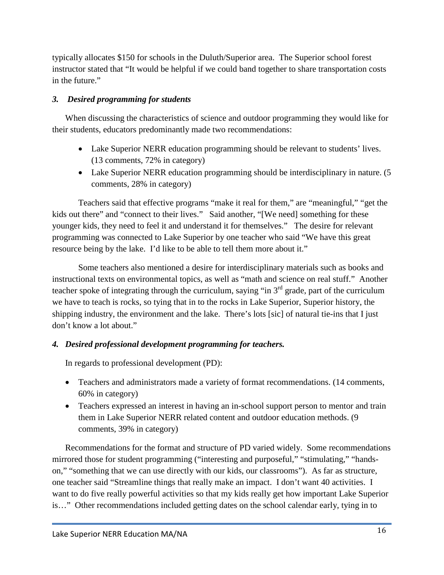typically allocates \$150 for schools in the Duluth/Superior area. The Superior school forest instructor stated that "It would be helpful if we could band together to share transportation costs in the future."

# *3. Desired programming for students*

When discussing the characteristics of science and outdoor programming they would like for their students, educators predominantly made two recommendations:

- Lake Superior NERR education programming should be relevant to students' lives. (13 comments, 72% in category)
- Lake Superior NERR education programming should be interdisciplinary in nature. (5 comments, 28% in category)

Teachers said that effective programs "make it real for them," are "meaningful," "get the kids out there" and "connect to their lives." Said another, "[We need] something for these younger kids, they need to feel it and understand it for themselves." The desire for relevant programming was connected to Lake Superior by one teacher who said "We have this great resource being by the lake. I'd like to be able to tell them more about it."

Some teachers also mentioned a desire for interdisciplinary materials such as books and instructional texts on environmental topics, as well as "math and science on real stuff." Another teacher spoke of integrating through the curriculum, saying "in  $3<sup>rd</sup>$  grade, part of the curriculum we have to teach is rocks, so tying that in to the rocks in Lake Superior, Superior history, the shipping industry, the environment and the lake. There's lots [sic] of natural tie-ins that I just don't know a lot about."

# *4. Desired professional development programming for teachers.*

In regards to professional development (PD):

- Teachers and administrators made a variety of format recommendations. (14 comments, 60% in category)
- Teachers expressed an interest in having an in-school support person to mentor and train them in Lake Superior NERR related content and outdoor education methods. (9 comments, 39% in category)

Recommendations for the format and structure of PD varied widely. Some recommendations mirrored those for student programming ("interesting and purposeful," "stimulating," "handson," "something that we can use directly with our kids, our classrooms"). As far as structure, one teacher said "Streamline things that really make an impact. I don't want 40 activities. I want to do five really powerful activities so that my kids really get how important Lake Superior is…" Other recommendations included getting dates on the school calendar early, tying in to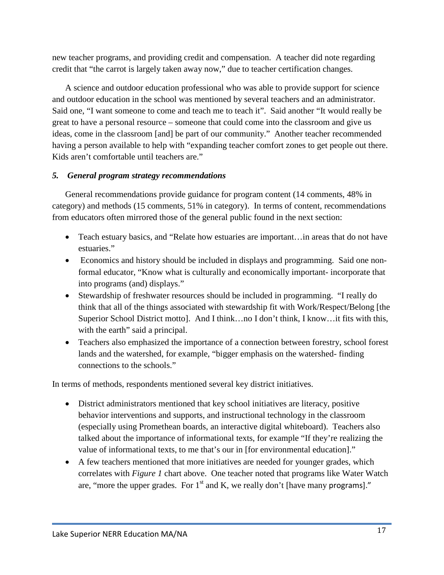new teacher programs, and providing credit and compensation. A teacher did note regarding credit that "the carrot is largely taken away now," due to teacher certification changes.

A science and outdoor education professional who was able to provide support for science and outdoor education in the school was mentioned by several teachers and an administrator. Said one, "I want someone to come and teach me to teach it". Said another "It would really be great to have a personal resource – someone that could come into the classroom and give us ideas, come in the classroom [and] be part of our community." Another teacher recommended having a person available to help with "expanding teacher comfort zones to get people out there. Kids aren't comfortable until teachers are."

## *5. General program strategy recommendations*

General recommendations provide guidance for program content (14 comments, 48% in category) and methods (15 comments, 51% in category). In terms of content, recommendations from educators often mirrored those of the general public found in the next section:

- Teach estuary basics, and "Relate how estuaries are important... in areas that do not have estuaries."
- Economics and history should be included in displays and programming. Said one nonformal educator, "Know what is culturally and economically important- incorporate that into programs (and) displays."
- Stewardship of freshwater resources should be included in programming. "I really do think that all of the things associated with stewardship fit with Work/Respect/Belong [the Superior School District motto]. And I think…no I don't think, I know…it fits with this, with the earth" said a principal.
- Teachers also emphasized the importance of a connection between forestry, school forest lands and the watershed, for example, "bigger emphasis on the watershed- finding connections to the schools."

In terms of methods, respondents mentioned several key district initiatives.

- District administrators mentioned that key school initiatives are literacy, positive behavior interventions and supports, and instructional technology in the classroom (especially using Promethean boards, an interactive digital whiteboard). Teachers also talked about the importance of informational texts, for example "If they're realizing the value of informational texts, to me that's our in [for environmental education]."
- A few teachers mentioned that more initiatives are needed for younger grades, which correlates with *Figure 1* chart above. One teacher noted that programs like Water Watch are, "more the upper grades. For  $1<sup>st</sup>$  and K, we really don't [have many programs]."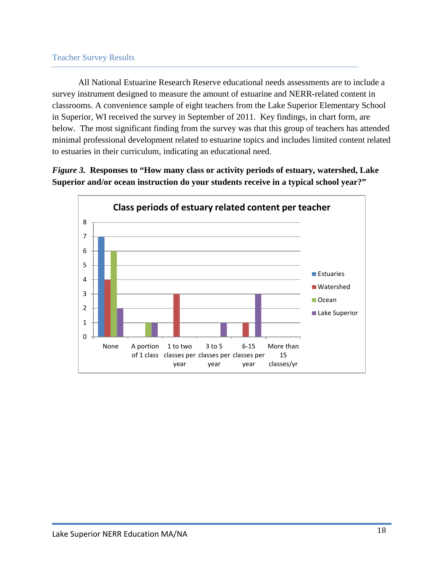#### Teacher Survey Results

All National Estuarine Research Reserve educational needs assessments are to include a survey instrument designed to measure the amount of estuarine and NERR-related content in classrooms. A convenience sample of eight teachers from the Lake Superior Elementary School in Superior, WI received the survey in September of 2011. Key findings, in chart form, are below. The most significant finding from the survey was that this group of teachers has attended minimal professional development related to estuarine topics and includes limited content related to estuaries in their curriculum, indicating an educational need.

*Figure 3.* **Responses to "How many class or activity periods of estuary, watershed, Lake Superior and/or ocean instruction do your students receive in a typical school year?"**

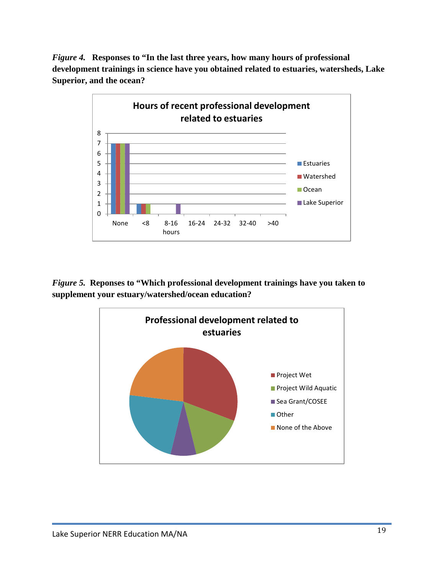*Figure 4.* **Responses to "In the last three years, how many hours of professional development trainings in science have you obtained related to estuaries, watersheds, Lake Superior, and the ocean?**



*Figure 5.* **Reponses to "Which professional development trainings have you taken to supplement your estuary/watershed/ocean education?**

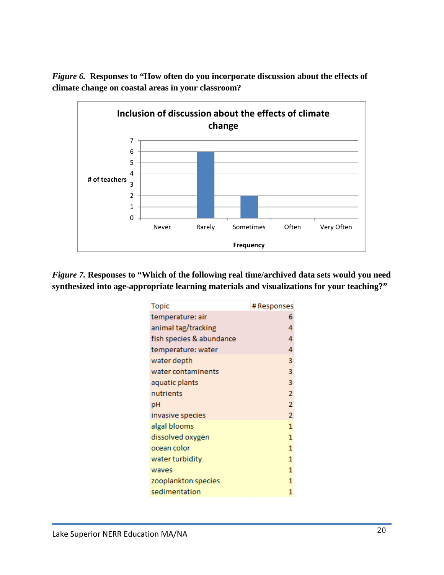

*Figure 6.* **Responses to "How often do you incorporate discussion about the effects of climate change on coastal areas in your classroom?**

*Figure 7.* **Responses to "Which of the following real time/archived data sets would you need synthesized into age-appropriate learning materials and visualizations for your teaching?"**

| <b>Topic</b>             | # Responses    |
|--------------------------|----------------|
| temperature: air         | 6              |
| animal tag/tracking      | 4              |
| fish species & abundance | 4              |
| temperature: water       | 4              |
| water depth              | 3              |
| water contaminents       | 3              |
| aquatic plants           | 3              |
| nutrients                | $\overline{2}$ |
| рH                       | $\overline{2}$ |
| invasive species         | $\overline{2}$ |
| algal blooms             | 1              |
| dissolved oxygen         | 1              |
| ocean color              | 1              |
| water turbidity          | 1              |
| waves                    | 1              |
| zooplankton species      | 1              |
| sedimentation            | 1              |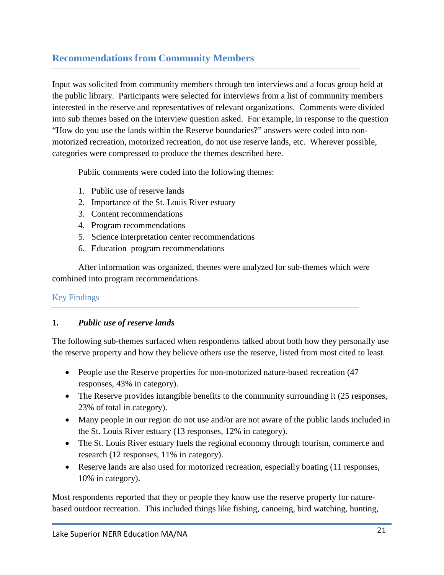# **Recommendations from Community Members**

Input was solicited from community members through ten interviews and a focus group held at the public library. Participants were selected for interviews from a list of community members interested in the reserve and representatives of relevant organizations. Comments were divided into sub themes based on the interview question asked. For example, in response to the question "How do you use the lands within the Reserve boundaries?" answers were coded into nonmotorized recreation, motorized recreation, do not use reserve lands, etc. Wherever possible, categories were compressed to produce the themes described here.

Public comments were coded into the following themes:

- 1. Public use of reserve lands
- 2. Importance of the St. Louis River estuary
- 3. Content recommendations
- 4. Program recommendations
- 5. Science interpretation center recommendations
- 6. Education program recommendations

After information was organized, themes were analyzed for sub-themes which were combined into program recommendations.

# Key Findings

# **1.** *Public use of reserve lands*

The following sub-themes surfaced when respondents talked about both how they personally use the reserve property and how they believe others use the reserve, listed from most cited to least.

- People use the Reserve properties for non-motorized nature-based recreation (47 responses, 43% in category).
- The Reserve provides intangible benefits to the community surrounding it (25 responses, 23% of total in category).
- Many people in our region do not use and/or are not aware of the public lands included in the St. Louis River estuary (13 responses, 12% in category).
- The St. Louis River estuary fuels the regional economy through tourism, commerce and research (12 responses, 11% in category).
- Reserve lands are also used for motorized recreation, especially boating (11 responses, 10% in category).

Most respondents reported that they or people they know use the reserve property for naturebased outdoor recreation. This included things like fishing, canoeing, bird watching, hunting,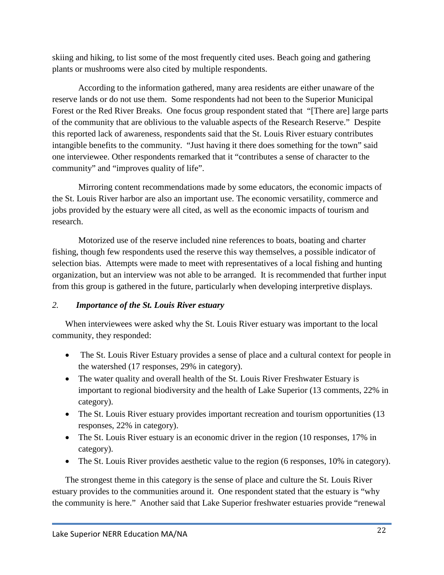skiing and hiking, to list some of the most frequently cited uses. Beach going and gathering plants or mushrooms were also cited by multiple respondents.

According to the information gathered, many area residents are either unaware of the reserve lands or do not use them. Some respondents had not been to the Superior Municipal Forest or the Red River Breaks. One focus group respondent stated that "[There are] large parts of the community that are oblivious to the valuable aspects of the Research Reserve." Despite this reported lack of awareness, respondents said that the St. Louis River estuary contributes intangible benefits to the community. "Just having it there does something for the town" said one interviewee. Other respondents remarked that it "contributes a sense of character to the community" and "improves quality of life".

Mirroring content recommendations made by some educators, the economic impacts of the St. Louis River harbor are also an important use. The economic versatility, commerce and jobs provided by the estuary were all cited, as well as the economic impacts of tourism and research.

Motorized use of the reserve included nine references to boats, boating and charter fishing, though few respondents used the reserve this way themselves, a possible indicator of selection bias. Attempts were made to meet with representatives of a local fishing and hunting organization, but an interview was not able to be arranged. It is recommended that further input from this group is gathered in the future, particularly when developing interpretive displays.

## *2. Importance of the St. Louis River estuary*

When interviewees were asked why the St. Louis River estuary was important to the local community, they responded:

- The St. Louis River Estuary provides a sense of place and a cultural context for people in the watershed (17 responses, 29% in category).
- The water quality and overall health of the St. Louis River Freshwater Estuary is important to regional biodiversity and the health of Lake Superior (13 comments, 22% in category).
- The St. Louis River estuary provides important recreation and tourism opportunities (13) responses, 22% in category).
- The St. Louis River estuary is an economic driver in the region (10 responses, 17% in category).
- The St. Louis River provides aesthetic value to the region (6 responses, 10% in category).

The strongest theme in this category is the sense of place and culture the St. Louis River estuary provides to the communities around it. One respondent stated that the estuary is "why the community is here." Another said that Lake Superior freshwater estuaries provide "renewal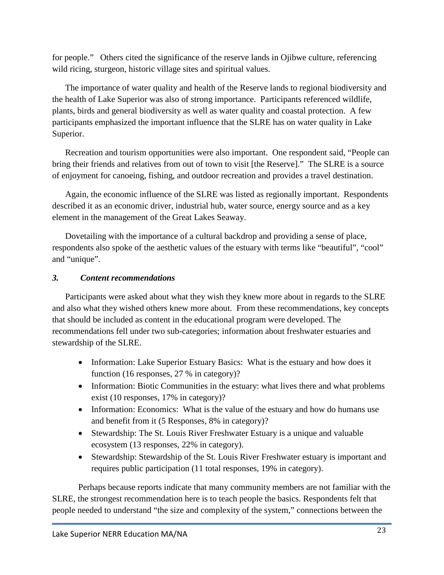for people." Others cited the significance of the reserve lands in Ojibwe culture, referencing wild ricing, sturgeon, historic village sites and spiritual values.

The importance of water quality and health of the Reserve lands to regional biodiversity and the health of Lake Superior was also of strong importance. Participants referenced wildlife, plants, birds and general biodiversity as well as water quality and coastal protection. A few participants emphasized the important influence that the SLRE has on water quality in Lake Superior.

Recreation and tourism opportunities were also important. One respondent said, "People can bring their friends and relatives from out of town to visit [the Reserve]." The SLRE is a source of enjoyment for canoeing, fishing, and outdoor recreation and provides a travel destination.

Again, the economic influence of the SLRE was listed as regionally important. Respondents described it as an economic driver, industrial hub, water source, energy source and as a key element in the management of the Great Lakes Seaway.

Dovetailing with the importance of a cultural backdrop and providing a sense of place, respondents also spoke of the aesthetic values of the estuary with terms like "beautiful", "cool" and "unique".

# *3. Content recommendations*

Participants were asked about what they wish they knew more about in regards to the SLRE and also what they wished others knew more about. From these recommendations, key concepts that should be included as content in the educational program were developed. The recommendations fell under two sub-categories; information about freshwater estuaries and stewardship of the SLRE.

- Information: Lake Superior Estuary Basics: What is the estuary and how does it function (16 responses, 27 % in category)?
- Information: Biotic Communities in the estuary: what lives there and what problems exist (10 responses, 17% in category)?
- Information: Economics: What is the value of the estuary and how do humans use and benefit from it (5 Responses, 8% in category)?
- Stewardship: The St. Louis River Freshwater Estuary is a unique and valuable ecosystem (13 responses, 22% in category).
- Stewardship: Stewardship of the St. Louis River Freshwater estuary is important and requires public participation (11 total responses, 19% in category).

Perhaps because reports indicate that many community members are not familiar with the SLRE, the strongest recommendation here is to teach people the basics. Respondents felt that people needed to understand "the size and complexity of the system," connections between the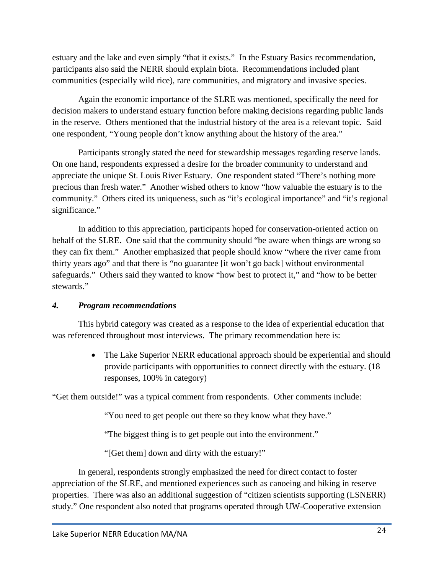estuary and the lake and even simply "that it exists." In the Estuary Basics recommendation, participants also said the NERR should explain biota. Recommendations included plant communities (especially wild rice), rare communities, and migratory and invasive species.

Again the economic importance of the SLRE was mentioned, specifically the need for decision makers to understand estuary function before making decisions regarding public lands in the reserve. Others mentioned that the industrial history of the area is a relevant topic. Said one respondent, "Young people don't know anything about the history of the area."

Participants strongly stated the need for stewardship messages regarding reserve lands. On one hand, respondents expressed a desire for the broader community to understand and appreciate the unique St. Louis River Estuary. One respondent stated "There's nothing more precious than fresh water." Another wished others to know "how valuable the estuary is to the community." Others cited its uniqueness, such as "it's ecological importance" and "it's regional significance."

In addition to this appreciation, participants hoped for conservation-oriented action on behalf of the SLRE. One said that the community should "be aware when things are wrong so they can fix them." Another emphasized that people should know "where the river came from thirty years ago" and that there is "no guarantee [it won't go back] without environmental safeguards." Others said they wanted to know "how best to protect it," and "how to be better stewards."

## *4. Program recommendations*

This hybrid category was created as a response to the idea of experiential education that was referenced throughout most interviews. The primary recommendation here is:

> • The Lake Superior NERR educational approach should be experiential and should provide participants with opportunities to connect directly with the estuary. (18 responses, 100% in category)

"Get them outside!" was a typical comment from respondents. Other comments include:

"You need to get people out there so they know what they have."

"The biggest thing is to get people out into the environment."

"[Get them] down and dirty with the estuary!"

In general, respondents strongly emphasized the need for direct contact to foster appreciation of the SLRE, and mentioned experiences such as canoeing and hiking in reserve properties. There was also an additional suggestion of "citizen scientists supporting (LSNERR) study." One respondent also noted that programs operated through UW-Cooperative extension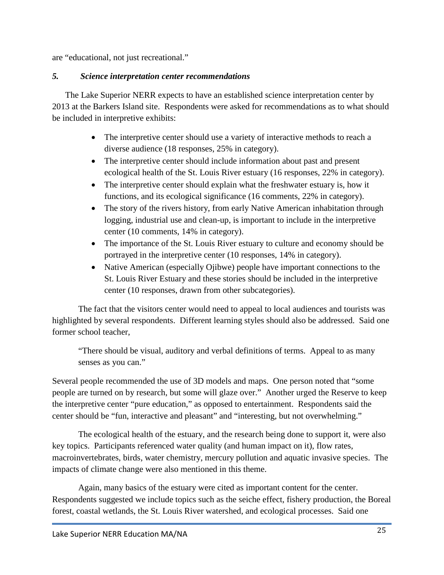are "educational, not just recreational."

#### *5. Science interpretation center recommendations*

The Lake Superior NERR expects to have an established science interpretation center by 2013 at the Barkers Island site. Respondents were asked for recommendations as to what should be included in interpretive exhibits:

- The interpretive center should use a variety of interactive methods to reach a diverse audience (18 responses, 25% in category).
- The interpretive center should include information about past and present ecological health of the St. Louis River estuary (16 responses, 22% in category).
- The interpretive center should explain what the freshwater estuary is, how it functions, and its ecological significance (16 comments, 22% in category).
- The story of the rivers history, from early Native American inhabitation through logging, industrial use and clean-up, is important to include in the interpretive center (10 comments, 14% in category).
- The importance of the St. Louis River estuary to culture and economy should be portrayed in the interpretive center (10 responses, 14% in category).
- Native American (especially Ojibwe) people have important connections to the St. Louis River Estuary and these stories should be included in the interpretive center (10 responses, drawn from other subcategories).

The fact that the visitors center would need to appeal to local audiences and tourists was highlighted by several respondents. Different learning styles should also be addressed. Said one former school teacher,

"There should be visual, auditory and verbal definitions of terms. Appeal to as many senses as you can."

Several people recommended the use of 3D models and maps. One person noted that "some people are turned on by research, but some will glaze over." Another urged the Reserve to keep the interpretive center "pure education," as opposed to entertainment. Respondents said the center should be "fun, interactive and pleasant" and "interesting, but not overwhelming."

The ecological health of the estuary, and the research being done to support it, were also key topics. Participants referenced water quality (and human impact on it), flow rates, macroinvertebrates, birds, water chemistry, mercury pollution and aquatic invasive species. The impacts of climate change were also mentioned in this theme.

Again, many basics of the estuary were cited as important content for the center. Respondents suggested we include topics such as the seiche effect, fishery production, the Boreal forest, coastal wetlands, the St. Louis River watershed, and ecological processes. Said one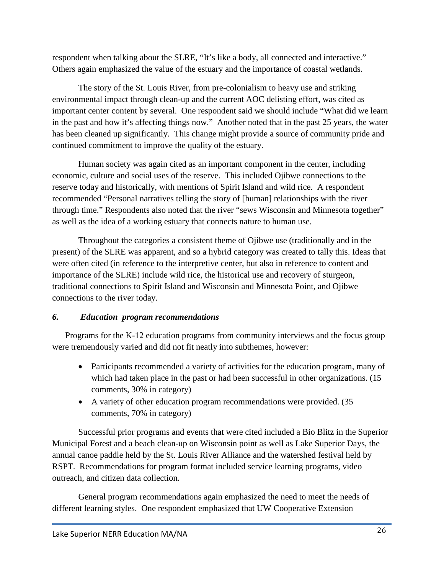respondent when talking about the SLRE, "It's like a body, all connected and interactive." Others again emphasized the value of the estuary and the importance of coastal wetlands.

The story of the St. Louis River, from pre-colonialism to heavy use and striking environmental impact through clean-up and the current AOC delisting effort, was cited as important center content by several. One respondent said we should include "What did we learn in the past and how it's affecting things now." Another noted that in the past 25 years, the water has been cleaned up significantly. This change might provide a source of community pride and continued commitment to improve the quality of the estuary.

Human society was again cited as an important component in the center, including economic, culture and social uses of the reserve. This included Ojibwe connections to the reserve today and historically, with mentions of Spirit Island and wild rice. A respondent recommended "Personal narratives telling the story of [human] relationships with the river through time." Respondents also noted that the river "sews Wisconsin and Minnesota together" as well as the idea of a working estuary that connects nature to human use.

Throughout the categories a consistent theme of Ojibwe use (traditionally and in the present) of the SLRE was apparent, and so a hybrid category was created to tally this. Ideas that were often cited (in reference to the interpretive center, but also in reference to content and importance of the SLRE) include wild rice, the historical use and recovery of sturgeon, traditional connections to Spirit Island and Wisconsin and Minnesota Point, and Ojibwe connections to the river today.

## *6. Education program recommendations*

Programs for the K-12 education programs from community interviews and the focus group were tremendously varied and did not fit neatly into subthemes, however:

- Participants recommended a variety of activities for the education program, many of which had taken place in the past or had been successful in other organizations. (15 comments, 30% in category)
- A variety of other education program recommendations were provided. (35 comments, 70% in category)

Successful prior programs and events that were cited included a Bio Blitz in the Superior Municipal Forest and a beach clean-up on Wisconsin point as well as Lake Superior Days, the annual canoe paddle held by the St. Louis River Alliance and the watershed festival held by RSPT. Recommendations for program format included service learning programs, video outreach, and citizen data collection.

General program recommendations again emphasized the need to meet the needs of different learning styles. One respondent emphasized that UW Cooperative Extension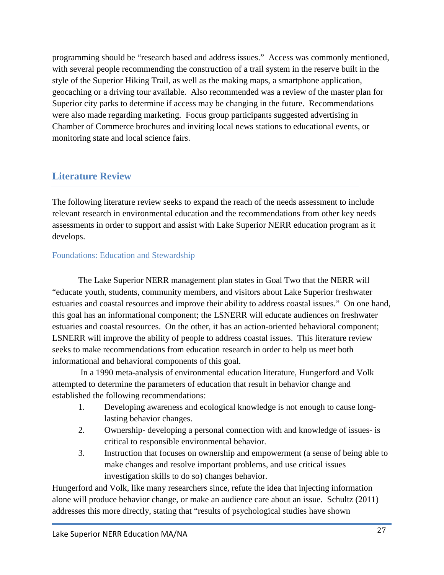programming should be "research based and address issues." Access was commonly mentioned, with several people recommending the construction of a trail system in the reserve built in the style of the Superior Hiking Trail, as well as the making maps, a smartphone application, geocaching or a driving tour available. Also recommended was a review of the master plan for Superior city parks to determine if access may be changing in the future. Recommendations were also made regarding marketing. Focus group participants suggested advertising in Chamber of Commerce brochures and inviting local news stations to educational events, or monitoring state and local science fairs.

# **Literature Review**

The following literature review seeks to expand the reach of the needs assessment to include relevant research in environmental education and the recommendations from other key needs assessments in order to support and assist with Lake Superior NERR education program as it develops.

## Foundations: Education and Stewardship

The Lake Superior NERR management plan states in Goal Two that the NERR will "educate youth, students, community members, and visitors about Lake Superior freshwater estuaries and coastal resources and improve their ability to address coastal issues." On one hand, this goal has an informational component; the LSNERR will educate audiences on freshwater estuaries and coastal resources. On the other, it has an action-oriented behavioral component; LSNERR will improve the ability of people to address coastal issues. This literature review seeks to make recommendations from education research in order to help us meet both informational and behavioral components of this goal.

In a 1990 meta-analysis of environmental education literature, Hungerford and Volk attempted to determine the parameters of education that result in behavior change and established the following recommendations:

- 1. Developing awareness and ecological knowledge is not enough to cause longlasting behavior changes.
- 2. Ownership- developing a personal connection with and knowledge of issues- is critical to responsible environmental behavior.
- 3. Instruction that focuses on ownership and empowerment (a sense of being able to make changes and resolve important problems, and use critical issues investigation skills to do so) changes behavior.

Hungerford and Volk, like many researchers since, refute the idea that injecting information alone will produce behavior change, or make an audience care about an issue. Schultz (2011) addresses this more directly, stating that "results of psychological studies have shown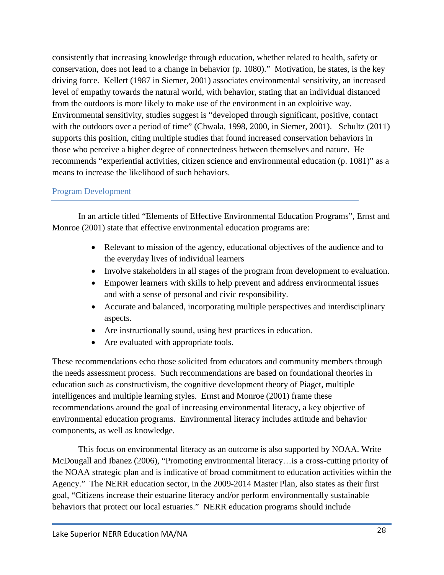consistently that increasing knowledge through education, whether related to health, safety or conservation, does not lead to a change in behavior (p. 1080)." Motivation, he states, is the key driving force. Kellert (1987 in Siemer, 2001) associates environmental sensitivity, an increased level of empathy towards the natural world, with behavior, stating that an individual distanced from the outdoors is more likely to make use of the environment in an exploitive way. Environmental sensitivity, studies suggest is "developed through significant, positive, contact with the outdoors over a period of time" (Chwala, 1998, 2000, in Siemer, 2001). Schultz (2011) supports this position, citing multiple studies that found increased conservation behaviors in those who perceive a higher degree of connectedness between themselves and nature. He recommends "experiential activities, citizen science and environmental education (p. 1081)" as a means to increase the likelihood of such behaviors.

# Program Development

In an article titled "Elements of Effective Environmental Education Programs", Ernst and Monroe (2001) state that effective environmental education programs are:

- Relevant to mission of the agency, educational objectives of the audience and to the everyday lives of individual learners
- Involve stakeholders in all stages of the program from development to evaluation.
- Empower learners with skills to help prevent and address environmental issues and with a sense of personal and civic responsibility.
- Accurate and balanced, incorporating multiple perspectives and interdisciplinary aspects.
- Are instructionally sound, using best practices in education.
- Are evaluated with appropriate tools.

These recommendations echo those solicited from educators and community members through the needs assessment process. Such recommendations are based on foundational theories in education such as constructivism, the cognitive development theory of Piaget, multiple intelligences and multiple learning styles. Ernst and Monroe (2001) frame these recommendations around the goal of increasing environmental literacy, a key objective of environmental education programs. Environmental literacy includes attitude and behavior components, as well as knowledge.

This focus on environmental literacy as an outcome is also supported by NOAA. Write McDougall and Ibanez (2006), "Promoting environmental literacy…is a cross-cutting priority of the NOAA strategic plan and is indicative of broad commitment to education activities within the Agency." The NERR education sector, in the 2009-2014 Master Plan, also states as their first goal, "Citizens increase their estuarine literacy and/or perform environmentally sustainable behaviors that protect our local estuaries." NERR education programs should include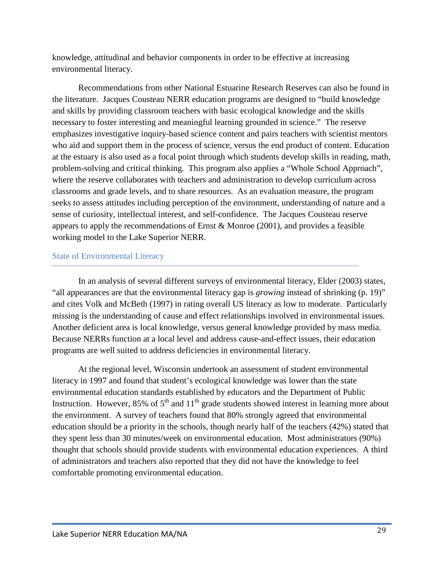knowledge, attitudinal and behavior components in order to be effective at increasing environmental literacy.

Recommendations from other National Estuarine Research Reserves can also be found in the literature. Jacques Cousteau NERR education programs are designed to "build knowledge and skills by providing classroom teachers with basic ecological knowledge and the skills necessary to foster interesting and meaningful learning grounded in science." The reserve emphasizes investigative inquiry-based science content and pairs teachers with scientist mentors who aid and support them in the process of science, versus the end product of content. Education at the estuary is also used as a focal point through which students develop skills in reading, math, problem-solving and critical thinking. This program also applies a "Whole School Approach", where the reserve collaborates with teachers and administration to develop curriculum across classrooms and grade levels, and to share resources. As an evaluation measure, the program seeks to assess attitudes including perception of the environment, understanding of nature and a sense of curiosity, intellectual interest, and self-confidence. The Jacques Cousteau reserve appears to apply the recommendations of Ernst & Monroe (2001), and provides a feasible working model to the Lake Superior NERR.

#### State of Environmental Literacy

In an analysis of several different surveys of environmental literacy, Elder (2003) states, "all appearances are that the environmental literacy gap is *growing* instead of shrinking (p. 19)" and cites Volk and McBeth (1997) in rating overall US literacy as low to moderate. Particularly missing is the understanding of cause and effect relationships involved in environmental issues. Another deficient area is local knowledge, versus general knowledge provided by mass media. Because NERRs function at a local level and address cause-and-effect issues, their education programs are well suited to address deficiencies in environmental literacy.

At the regional level, Wisconsin undertook an assessment of student environmental literacy in 1997 and found that student's ecological knowledge was lower than the state environmental education standards established by educators and the Department of Public Instruction. However, 85% of  $5<sup>th</sup>$  and  $11<sup>th</sup>$  grade students showed interest in learning more about the environment. A survey of teachers found that 80% strongly agreed that environmental education should be a priority in the schools, though nearly half of the teachers (42%) stated that they spent less than 30 minutes/week on environmental education. Most administrators (90%) thought that schools should provide students with environmental education experiences. A third of administrators and teachers also reported that they did not have the knowledge to feel comfortable promoting environmental education.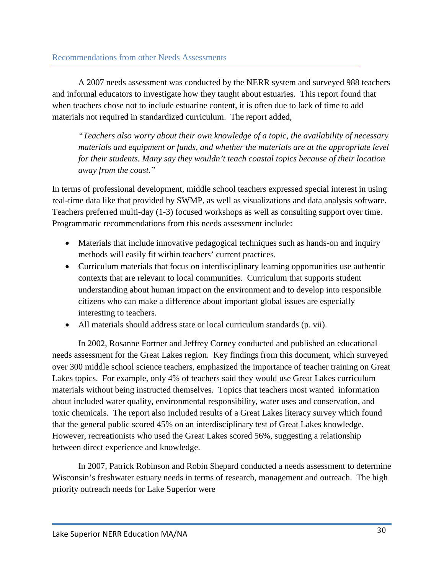A 2007 needs assessment was conducted by the NERR system and surveyed 988 teachers and informal educators to investigate how they taught about estuaries. This report found that when teachers chose not to include estuarine content, it is often due to lack of time to add materials not required in standardized curriculum. The report added,

*"Teachers also worry about their own knowledge of a topic, the availability of necessary materials and equipment or funds, and whether the materials are at the appropriate level for their students. Many say they wouldn't teach coastal topics because of their location away from the coast."*

In terms of professional development, middle school teachers expressed special interest in using real-time data like that provided by SWMP, as well as visualizations and data analysis software. Teachers preferred multi-day (1-3) focused workshops as well as consulting support over time. Programmatic recommendations from this needs assessment include:

- Materials that include innovative pedagogical techniques such as hands-on and inquiry methods will easily fit within teachers' current practices.
- Curriculum materials that focus on interdisciplinary learning opportunities use authentic contexts that are relevant to local communities. Curriculum that supports student understanding about human impact on the environment and to develop into responsible citizens who can make a difference about important global issues are especially interesting to teachers.
- All materials should address state or local curriculum standards (p. vii).

In 2002, Rosanne Fortner and Jeffrey Corney conducted and published an educational needs assessment for the Great Lakes region. Key findings from this document, which surveyed over 300 middle school science teachers, emphasized the importance of teacher training on Great Lakes topics. For example, only 4% of teachers said they would use Great Lakes curriculum materials without being instructed themselves. Topics that teachers most wanted information about included water quality, environmental responsibility, water uses and conservation, and toxic chemicals. The report also included results of a Great Lakes literacy survey which found that the general public scored 45% on an interdisciplinary test of Great Lakes knowledge. However, recreationists who used the Great Lakes scored 56%, suggesting a relationship between direct experience and knowledge.

In 2007, Patrick Robinson and Robin Shepard conducted a needs assessment to determine Wisconsin's freshwater estuary needs in terms of research, management and outreach. The high priority outreach needs for Lake Superior were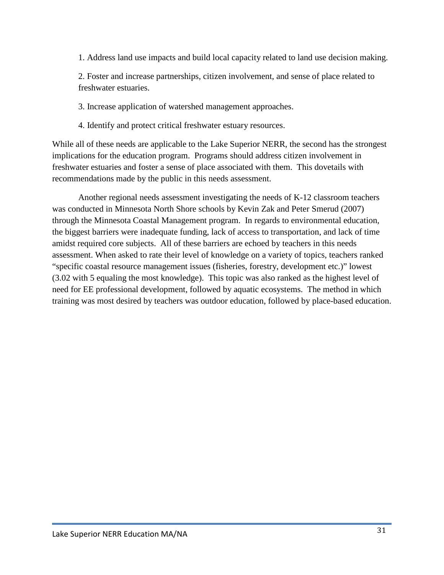1. Address land use impacts and build local capacity related to land use decision making.

2. Foster and increase partnerships, citizen involvement, and sense of place related to freshwater estuaries.

3. Increase application of watershed management approaches.

4. Identify and protect critical freshwater estuary resources.

While all of these needs are applicable to the Lake Superior NERR, the second has the strongest implications for the education program. Programs should address citizen involvement in freshwater estuaries and foster a sense of place associated with them. This dovetails with recommendations made by the public in this needs assessment.

Another regional needs assessment investigating the needs of K-12 classroom teachers was conducted in Minnesota North Shore schools by Kevin Zak and Peter Smerud (2007) through the Minnesota Coastal Management program. In regards to environmental education, the biggest barriers were inadequate funding, lack of access to transportation, and lack of time amidst required core subjects. All of these barriers are echoed by teachers in this needs assessment. When asked to rate their level of knowledge on a variety of topics, teachers ranked "specific coastal resource management issues (fisheries, forestry, development etc.)" lowest (3.02 with 5 equaling the most knowledge). This topic was also ranked as the highest level of need for EE professional development, followed by aquatic ecosystems. The method in which training was most desired by teachers was outdoor education, followed by place-based education.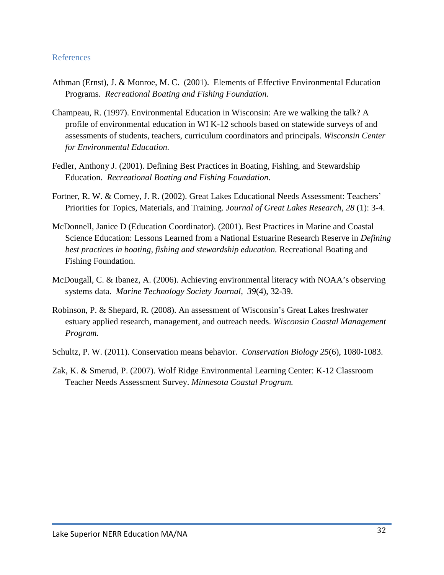- Athman (Ernst), J. & Monroe, M. C. (2001). Elements of Effective Environmental Education Programs. *Recreational Boating and Fishing Foundation.*
- Champeau, R. (1997). Environmental Education in Wisconsin: Are we walking the talk? A profile of environmental education in WI K-12 schools based on statewide surveys of and assessments of students, teachers, curriculum coordinators and principals. *Wisconsin Center for Environmental Education.*
- Fedler, Anthony J. (2001). Defining Best Practices in Boating, Fishing, and Stewardship Education. *Recreational Boating and Fishing Foundation*.
- Fortner, R. W. & Corney, J. R. (2002). Great Lakes Educational Needs Assessment: Teachers' Priorities for Topics, Materials, and Training. *Journal of Great Lakes Research, 28* (1): 3-4.
- McDonnell, Janice D (Education Coordinator). (2001). Best Practices in Marine and Coastal Science Education: Lessons Learned from a National Estuarine Research Reserve in *Defining best practices in boating, fishing and stewardship education.* Recreational Boating and Fishing Foundation.
- McDougall, C. & Ibanez, A. (2006). Achieving environmental literacy with NOAA's observing systems data. *Marine Technology Society Journal, 39*(4), 32-39.
- Robinson, P. & Shepard, R. (2008). An assessment of Wisconsin's Great Lakes freshwater estuary applied research, management, and outreach needs. *Wisconsin Coastal Management Program.*
- Schultz, P. W. (2011). Conservation means behavior. *Conservation Biology 25*(6), 1080-1083.
- Zak, K. & Smerud, P. (2007). Wolf Ridge Environmental Learning Center: K-12 Classroom Teacher Needs Assessment Survey. *Minnesota Coastal Program.*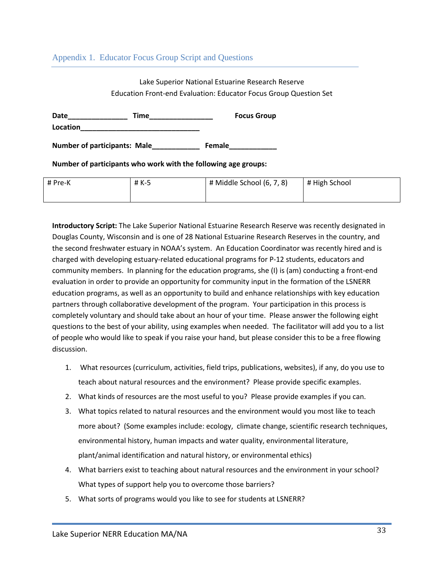Appendix 1. Educator Focus Group Script and Questions

#### Lake Superior National Estuarine Research Reserve Education Front-end Evaluation: Educator Focus Group Question Set

**Date\_\_\_\_\_\_\_\_\_\_\_\_\_\_\_ Time\_\_\_\_\_\_\_\_\_\_\_\_\_\_\_\_ Focus Group Location\_\_\_\_\_\_\_\_\_\_\_\_\_\_\_\_\_\_\_\_\_\_\_\_\_\_\_\_\_\_**

**Number of participants: Male\_\_\_\_\_\_\_\_\_\_\_\_ Female\_\_\_\_\_\_\_\_\_\_\_\_**

**Number of participants who work with the following age groups:**

| # Pre-K | # K-5 | $#$ Middle School $(6, 7, 8)$ | # High School |
|---------|-------|-------------------------------|---------------|
|         |       |                               |               |

**Introductory Script:** The Lake Superior National Estuarine Research Reserve was recently designated in Douglas County, Wisconsin and is one of 28 National Estuarine Research Reserves in the country, and the second freshwater estuary in NOAA's system. An Education Coordinator was recently hired and is charged with developing estuary-related educational programs for P-12 students, educators and community members. In planning for the education programs, she (I) is (am) conducting a front-end evaluation in order to provide an opportunity for community input in the formation of the LSNERR education programs, as well as an opportunity to build and enhance relationships with key education partners through collaborative development of the program. Your participation in this process is completely voluntary and should take about an hour of your time. Please answer the following eight questions to the best of your ability, using examples when needed. The facilitator will add you to a list of people who would like to speak if you raise your hand, but please consider this to be a free flowing discussion.

- 1. What resources (curriculum, activities, field trips, publications, websites), if any, do you use to teach about natural resources and the environment? Please provide specific examples.
- 2. What kinds of resources are the most useful to you? Please provide examples if you can.
- 3. What topics related to natural resources and the environment would you most like to teach more about? (Some examples include: ecology, climate change, scientific research techniques, environmental history, human impacts and water quality, environmental literature, plant/animal identification and natural history, or environmental ethics)
- 4. What barriers exist to teaching about natural resources and the environment in your school? What types of support help you to overcome those barriers?
- 5. What sorts of programs would you like to see for students at LSNERR?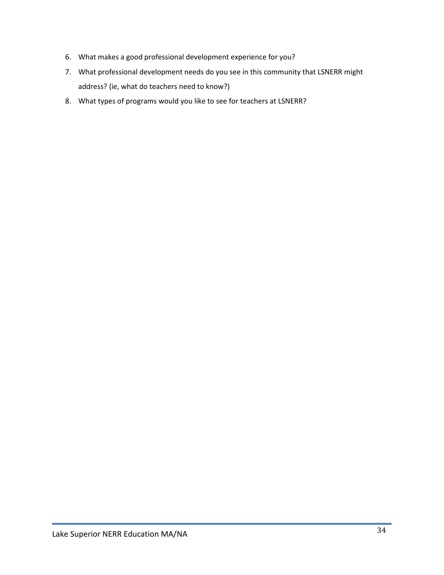- 6. What makes a good professional development experience for you?
- 7. What professional development needs do you see in this community that LSNERR might address? (ie, what do teachers need to know?)
- 8. What types of programs would you like to see for teachers at LSNERR?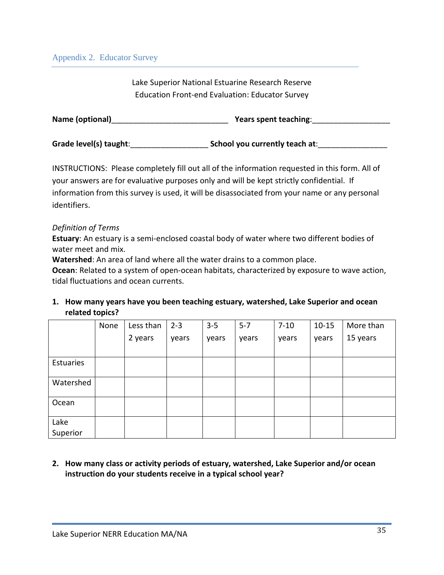Lake Superior National Estuarine Research Reserve Education Front-end Evaluation: Educator Survey

| Name (optional)        | Years spent teaching:          |
|------------------------|--------------------------------|
| Grade level(s) taught: | School you currently teach at: |

INSTRUCTIONS: Please completely fill out all of the information requested in this form. All of your answers are for evaluative purposes only and will be kept strictly confidential. If information from this survey is used, it will be disassociated from your name or any personal identifiers.

#### *Definition of Terms*

**Estuary**: An estuary is a semi-enclosed coastal body of water where two different bodies of water meet and mix.

**Watershed**: An area of land where all the water drains to a common place.

**Ocean**: Related to a system of open-ocean habitats, characterized by exposure to wave action, tidal fluctuations and ocean currents.

#### **1. How many years have you been teaching estuary, watershed, Lake Superior and ocean related topics?**

|                  | None | Less than | $2 - 3$ | $3-5$ | $5 - 7$ | $7 - 10$ | $10 - 15$ | More than |
|------------------|------|-----------|---------|-------|---------|----------|-----------|-----------|
|                  |      | 2 years   | years   | years | years   | years    | years     | 15 years  |
|                  |      |           |         |       |         |          |           |           |
| Estuaries        |      |           |         |       |         |          |           |           |
| Watershed        |      |           |         |       |         |          |           |           |
| Ocean            |      |           |         |       |         |          |           |           |
| Lake<br>Superior |      |           |         |       |         |          |           |           |

**2. How many class or activity periods of estuary, watershed, Lake Superior and/or ocean instruction do your students receive in a typical school year?**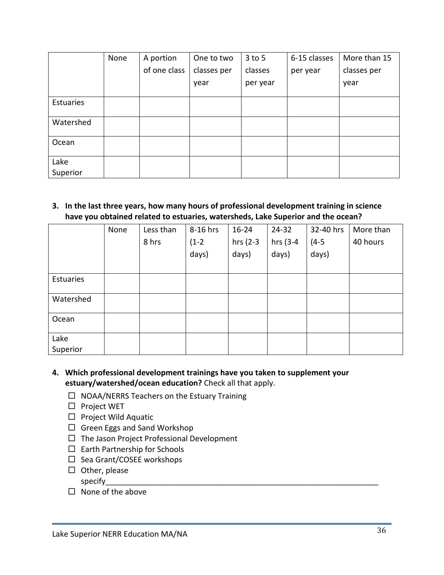|                  | None | A portion    | One to two  | $3$ to 5 | 6-15 classes | More than 15 |
|------------------|------|--------------|-------------|----------|--------------|--------------|
|                  |      | of one class | classes per | classes  | per year     | classes per  |
|                  |      |              | year        | per year |              | year         |
| Estuaries        |      |              |             |          |              |              |
| Watershed        |      |              |             |          |              |              |
| Ocean            |      |              |             |          |              |              |
| Lake<br>Superior |      |              |             |          |              |              |

**3. In the last three years, how many hours of professional development training in science have you obtained related to estuaries, watersheds, Lake Superior and the ocean?** 

|           | None | Less than | 8-16 hrs | $16 - 24$   | 24-32       | 32-40 hrs | More than |
|-----------|------|-----------|----------|-------------|-------------|-----------|-----------|
|           |      | 8 hrs     | $(1-2)$  | hrs $(2-3)$ | hrs $(3-4)$ | $(4-5)$   | 40 hours  |
|           |      |           | days)    | days)       | days)       | days)     |           |
|           |      |           |          |             |             |           |           |
| Estuaries |      |           |          |             |             |           |           |
| Watershed |      |           |          |             |             |           |           |
|           |      |           |          |             |             |           |           |
| Ocean     |      |           |          |             |             |           |           |
| Lake      |      |           |          |             |             |           |           |
| Superior  |      |           |          |             |             |           |           |

- **4. Which professional development trainings have you taken to supplement your estuary/watershed/ocean education?** Check all that apply.
	- $\Box$  NOAA/NERRS Teachers on the Estuary Training
	- $\square$  Project WET
	- $\Box$  Project Wild Aquatic
	- $\Box$  Green Eggs and Sand Workshop
	- $\Box$  The Jason Project Professional Development
	- $\square$  Earth Partnership for Schools
	- $\square$  Sea Grant/COSEE workshops
	- $\square$  Other, please
		- specify\_\_\_\_\_\_\_\_\_\_\_\_\_\_\_\_\_\_\_\_\_\_\_\_\_\_\_\_\_\_\_\_\_\_\_\_\_\_\_\_\_\_\_\_\_\_\_\_\_\_\_\_\_\_\_\_\_\_\_\_\_\_\_
	- $\square$  None of the above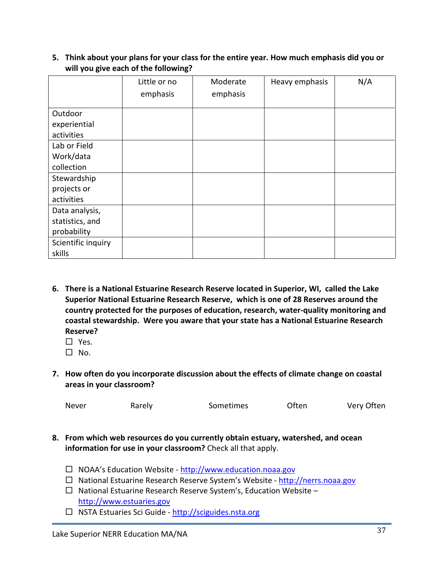**5. Think about your plans for your class for the entire year. How much emphasis did you or will you give each of the following?**

|                    | Little or no | Moderate | Heavy emphasis | N/A |
|--------------------|--------------|----------|----------------|-----|
|                    | emphasis     | emphasis |                |     |
| Outdoor            |              |          |                |     |
| experiential       |              |          |                |     |
| activities         |              |          |                |     |
| Lab or Field       |              |          |                |     |
| Work/data          |              |          |                |     |
| collection         |              |          |                |     |
| Stewardship        |              |          |                |     |
| projects or        |              |          |                |     |
| activities         |              |          |                |     |
| Data analysis,     |              |          |                |     |
| statistics, and    |              |          |                |     |
| probability        |              |          |                |     |
| Scientific inquiry |              |          |                |     |
| skills             |              |          |                |     |

- **6. There is a National Estuarine Research Reserve located in Superior, WI, called the Lake Superior National Estuarine Research Reserve, which is one of 28 Reserves around the country protected for the purposes of education, research, water-quality monitoring and coastal stewardship. Were you aware that your state has a National Estuarine Research Reserve?** 
	- $\Box$  Yes.
	- $\Box$  No.
- **7. How often do you incorporate discussion about the effects of climate change on coastal areas in your classroom?**

| Never | Rarely | Sometimes | Often | Very Often |
|-------|--------|-----------|-------|------------|
|       |        |           |       |            |

- **8. From which web resources do you currently obtain estuary, watershed, and ocean information for use in your classroom?** Check all that apply.
	- □ NOAA's Education Website [http://www.education.noaa.gov](http://www.education.noaa.gov/)
	- $\Box$  National Estuarine Research Reserve System's Website [http://nerrs.noaa.gov](http://nerrs.noaa.gov/)
	- $\Box$  National Estuarine Research Reserve System's, Education Website [http://www.estuaries.gov](http://www.estuaries.gov/)
	- $\Box$  NSTA Estuaries Sci Guide http://sciguides.nsta.org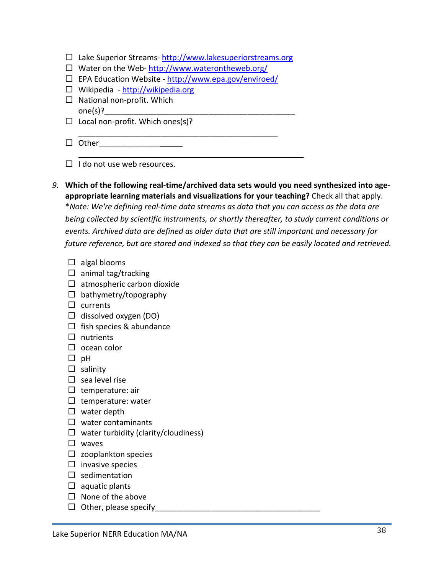Lake Superior Streams- [http://www.lakesuperiorstreams.org](http://www.lakesuperiorstreams.org/)

\_\_\_\_\_\_\_\_\_\_\_\_\_\_\_\_\_\_\_\_\_\_\_\_\_\_\_\_\_\_\_\_\_\_\_\_\_\_\_\_\_\_\_\_\_\_

- $\Box$  Water on the Web-<http://www.waterontheweb.org/>
- □ EPA Education Website <http://www.epa.gov/enviroed/>
- □ Wikipedia [http://wikipedia.org](http://wikipedia.org/)
- $\Box$  National non-profit. Which  $one(s)?$
- $\Box$  Local non-profit. Which ones(s)?
- $\Box$  Other
- $\Box$  I do not use web resources.
- *9.* **Which of the following real-time/archived data sets would you need synthesized into ageappropriate learning materials and visualizations for your teaching?** Check all that apply. \**Note: We're defining real-time data streams as data that you can access as the data are being collected by scientific instruments, or shortly thereafter, to study current conditions or events. Archived data are defined as older data that are still important and necessary for future reference, but are stored and indexed so that they can be easily located and retrieved.*

 $\overline{\phantom{a}}$  , and the contract of the contract of the contract of the contract of the contract of the contract of the contract of the contract of the contract of the contract of the contract of the contract of the contrac

- $\Box$  algal blooms
- $\Box$  animal tag/tracking
- $\Box$  atmospheric carbon dioxide
- $\Box$  bathymetry/topography
- $\square$  currents
- $\Box$  dissolved oxygen (DO)
- $\Box$  fish species & abundance
- $\Box$  nutrients
- $\square$  ocean color
- $\Box$  pH
- $\square$  salinity
- $\square$  sea level rise
- $\square$  temperature: air
- $\square$  temperature: water
- $\square$  water depth
- $\square$  water contaminants
- $\Box$  water turbidity (clarity/cloudiness)
- $\square$  waves
- $\square$  zooplankton species
- $\square$  invasive species
- $\square$  sedimentation
- $\square$  aquatic plants
- $\square$  None of the above
- $\Box$  Other, please specify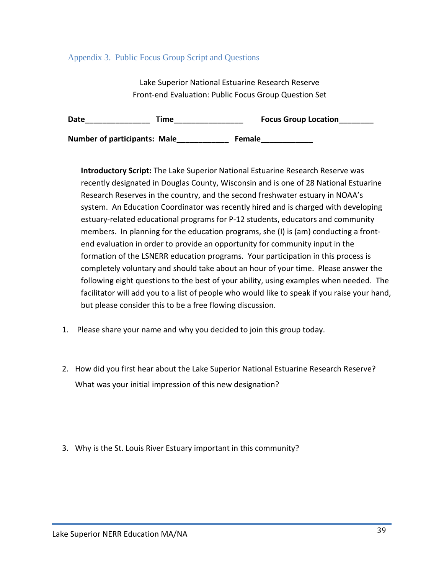#### Appendix 3. Public Focus Group Script and Questions

Lake Superior National Estuarine Research Reserve Front-end Evaluation: Public Focus Group Question Set

| Date                                | Time | <b>Focus Group Location</b> |
|-------------------------------------|------|-----------------------------|
| <b>Number of participants: Male</b> |      | <b>Female</b>               |

**Introductory Script:** The Lake Superior National Estuarine Research Reserve was recently designated in Douglas County, Wisconsin and is one of 28 National Estuarine Research Reserves in the country, and the second freshwater estuary in NOAA's system. An Education Coordinator was recently hired and is charged with developing estuary-related educational programs for P-12 students, educators and community members. In planning for the education programs, she (I) is (am) conducting a frontend evaluation in order to provide an opportunity for community input in the formation of the LSNERR education programs. Your participation in this process is completely voluntary and should take about an hour of your time. Please answer the following eight questions to the best of your ability, using examples when needed. The facilitator will add you to a list of people who would like to speak if you raise your hand, but please consider this to be a free flowing discussion.

- 1. Please share your name and why you decided to join this group today.
- 2. How did you first hear about the Lake Superior National Estuarine Research Reserve? What was your initial impression of this new designation?
- 3. Why is the St. Louis River Estuary important in this community?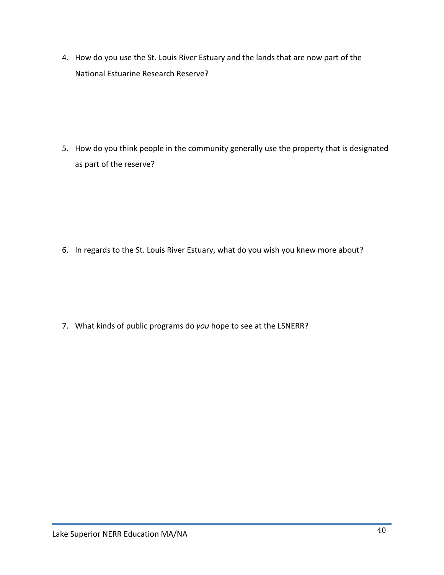4. How do you use the St. Louis River Estuary and the lands that are now part of the National Estuarine Research Reserve?

5. How do you think people in the community generally use the property that is designated as part of the reserve?

6. In regards to the St. Louis River Estuary, what do you wish you knew more about?

7. What kinds of public programs do *you* hope to see at the LSNERR?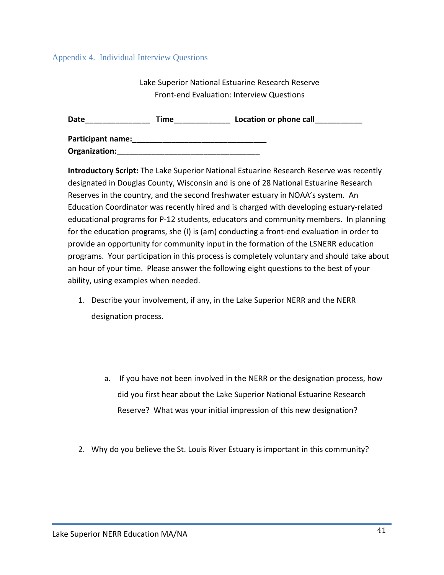#### Appendix 4. Individual Interview Questions

Lake Superior National Estuarine Research Reserve Front-end Evaluation: Interview Questions

| <b>Date</b>              | Time | Location or phone call |
|--------------------------|------|------------------------|
| <b>Participant name:</b> |      |                        |
| Organization:            |      |                        |

**Introductory Script:** The Lake Superior National Estuarine Research Reserve was recently designated in Douglas County, Wisconsin and is one of 28 National Estuarine Research Reserves in the country, and the second freshwater estuary in NOAA's system. An Education Coordinator was recently hired and is charged with developing estuary-related educational programs for P-12 students, educators and community members. In planning for the education programs, she (I) is (am) conducting a front-end evaluation in order to provide an opportunity for community input in the formation of the LSNERR education programs. Your participation in this process is completely voluntary and should take about an hour of your time. Please answer the following eight questions to the best of your ability, using examples when needed.

- 1. Describe your involvement, if any, in the Lake Superior NERR and the NERR designation process.
	- a. If you have not been involved in the NERR or the designation process, how did you first hear about the Lake Superior National Estuarine Research Reserve? What was your initial impression of this new designation?
- 2. Why do you believe the St. Louis River Estuary is important in this community?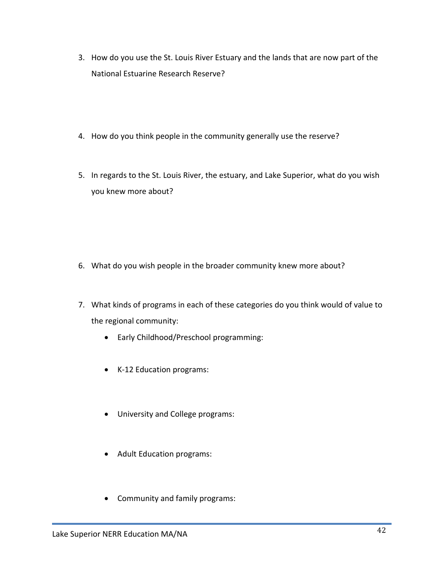- 3. How do you use the St. Louis River Estuary and the lands that are now part of the National Estuarine Research Reserve?
- 4. How do you think people in the community generally use the reserve?
- 5. In regards to the St. Louis River, the estuary, and Lake Superior, what do you wish you knew more about?

- 6. What do you wish people in the broader community knew more about?
- 7. What kinds of programs in each of these categories do you think would of value to the regional community:
	- Early Childhood/Preschool programming:
	- K-12 Education programs:
	- University and College programs:
	- Adult Education programs:
	- Community and family programs: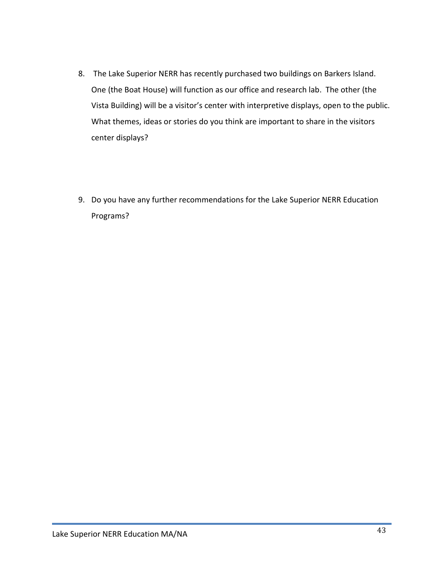- 8. The Lake Superior NERR has recently purchased two buildings on Barkers Island. One (the Boat House) will function as our office and research lab. The other (the Vista Building) will be a visitor's center with interpretive displays, open to the public. What themes, ideas or stories do you think are important to share in the visitors center displays?
- 9. Do you have any further recommendations for the Lake Superior NERR Education Programs?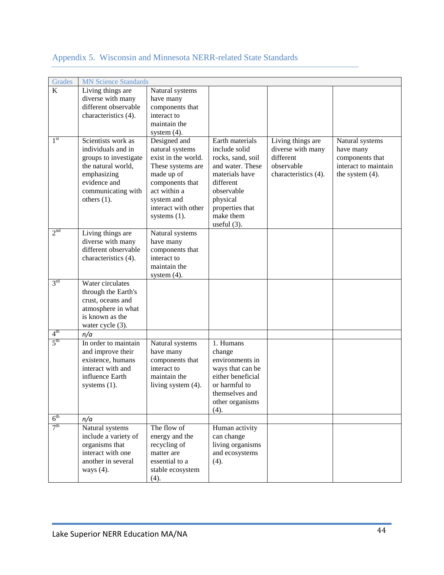| Grades          | <b>MN Science Standards</b> |                       |                   |                      |                      |
|-----------------|-----------------------------|-----------------------|-------------------|----------------------|----------------------|
| K               | Living things are           | Natural systems       |                   |                      |                      |
|                 | diverse with many           | have many             |                   |                      |                      |
|                 | different observable        | components that       |                   |                      |                      |
|                 | characteristics (4).        | interact to           |                   |                      |                      |
|                 |                             | maintain the          |                   |                      |                      |
|                 |                             | system $(4)$ .        |                   |                      |                      |
| 1 <sup>st</sup> | Scientists work as          | Designed and          | Earth materials   | Living things are    | Natural systems      |
|                 | individuals and in          | natural systems       | include solid     | diverse with many    | have many            |
|                 | groups to investigate       | exist in the world.   | rocks, sand, soil | different            | components that      |
|                 | the natural world,          | These systems are     | and water. These  | observable           | interact to maintain |
|                 | emphasizing                 | made up of            | materials have    | characteristics (4). | the system $(4)$ .   |
|                 | evidence and                | components that       | different         |                      |                      |
|                 | communicating with          | act within a          | observable        |                      |                      |
|                 | others $(1)$ .              | system and            | physical          |                      |                      |
|                 |                             | interact with other   | properties that   |                      |                      |
|                 |                             | systems $(1)$ .       | make them         |                      |                      |
|                 |                             |                       | useful $(3)$ .    |                      |                      |
| 2 <sup>nd</sup> | Living things are           | Natural systems       |                   |                      |                      |
|                 | diverse with many           | have many             |                   |                      |                      |
|                 | different observable        | components that       |                   |                      |                      |
|                 | characteristics (4).        | interact to           |                   |                      |                      |
|                 |                             | maintain the          |                   |                      |                      |
|                 |                             | system $(4)$ .        |                   |                      |                      |
| 3 <sup>rd</sup> | Water circulates            |                       |                   |                      |                      |
|                 | through the Earth's         |                       |                   |                      |                      |
|                 | crust, oceans and           |                       |                   |                      |                      |
|                 | atmosphere in what          |                       |                   |                      |                      |
|                 | is known as the             |                       |                   |                      |                      |
|                 | water cycle (3).            |                       |                   |                      |                      |
| 4 <sup>th</sup> | n/a                         |                       |                   |                      |                      |
| 5 <sup>th</sup> | In order to maintain        | Natural systems       | 1. Humans         |                      |                      |
|                 | and improve their           | have many             | change            |                      |                      |
|                 | existence, humans           | components that       | environments in   |                      |                      |
|                 | interact with and           | interact to           | ways that can be  |                      |                      |
|                 | influence Earth             | maintain the          | either beneficial |                      |                      |
|                 | systems $(1)$ .             | living system $(4)$ . | or harmful to     |                      |                      |
|                 |                             |                       | themselves and    |                      |                      |
|                 |                             |                       | other organisms   |                      |                      |
|                 |                             |                       | (4).              |                      |                      |
| $6^{\text{th}}$ | n/a                         |                       |                   |                      |                      |
| 7 <sup>th</sup> | Natural systems             | The flow of           | Human activity    |                      |                      |
|                 | include a variety of        | energy and the        | can change        |                      |                      |
|                 | organisms that              | recycling of          | living organisms  |                      |                      |
|                 | interact with one           | matter are            | and ecosystems    |                      |                      |
|                 | another in several          | essential to a        | (4).              |                      |                      |
|                 | ways $(4)$ .                | stable ecosystem      |                   |                      |                      |
|                 |                             | (4).                  |                   |                      |                      |

# Appendix 5. Wisconsin and Minnesota NERR-related State Standards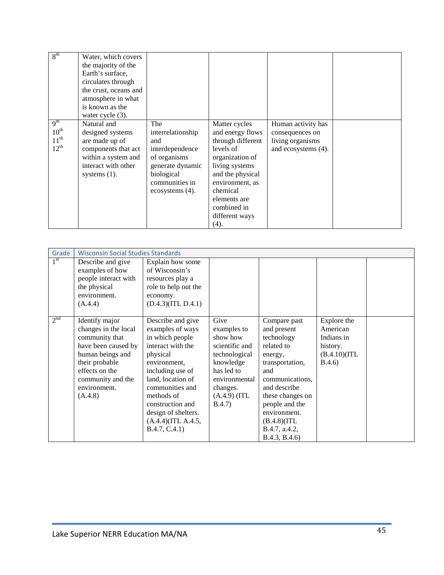| 8 <sup>th</sup>                                                      | Water, which covers<br>the majority of the<br>Earth's surface,<br>circulates through<br>the crust, oceans and<br>atmosphere in what<br>is known as the<br>water cycle $(3)$ . |                                                                                                                                           |                                                                                                                                                                                                                      |                                                                                  |  |
|----------------------------------------------------------------------|-------------------------------------------------------------------------------------------------------------------------------------------------------------------------------|-------------------------------------------------------------------------------------------------------------------------------------------|----------------------------------------------------------------------------------------------------------------------------------------------------------------------------------------------------------------------|----------------------------------------------------------------------------------|--|
| 9 <sup>th</sup><br>$10^{\text{th}}$<br>$11^{\text{th}}$<br>$12^{th}$ | Natural and<br>designed systems<br>are made up of<br>components that act<br>within a system and<br>interact with other<br>systems $(1)$ .                                     | The<br>interrelationship<br>and<br>interdependence<br>of organisms<br>generate dynamic<br>biological<br>communities in<br>ecosystems (4). | Matter cycles<br>and energy flows<br>through different<br>levels of<br>organization of<br>living systems<br>and the physical<br>environment, as<br>chemical<br>elements are<br>combined in<br>different ways<br>(4). | Human activity has<br>consequences on<br>living organisms<br>and ecosystems (4). |  |

| Grade           | <b>Wisconsin Social Studies Standards</b>                                                                                                                                               |                                                                                                                                                                                                                                                                       |                                                                                                                                                        |                                                                                                                                                                                                                                         |                                                                              |  |
|-----------------|-----------------------------------------------------------------------------------------------------------------------------------------------------------------------------------------|-----------------------------------------------------------------------------------------------------------------------------------------------------------------------------------------------------------------------------------------------------------------------|--------------------------------------------------------------------------------------------------------------------------------------------------------|-----------------------------------------------------------------------------------------------------------------------------------------------------------------------------------------------------------------------------------------|------------------------------------------------------------------------------|--|
| $1^{\rm st}$    | Describe and give<br>examples of how<br>people interact with<br>the physical<br>environment.<br>(A.4.4)                                                                                 | Explain how some<br>of Wisconsin's<br>resources play a<br>role to help out the<br>economy.<br>(D.4.3)(ITL D.4.1)                                                                                                                                                      |                                                                                                                                                        |                                                                                                                                                                                                                                         |                                                                              |  |
| 2 <sup>nd</sup> | Identify major<br>changes in the local<br>community that<br>have been caused by<br>human beings and<br>their probable<br>effects on the<br>community and the<br>environment.<br>(A.4.8) | Describe and give<br>examples of ways<br>in which people<br>interact with the<br>physical<br>environment,<br>including use of<br>land, location of<br>communities and<br>methods of<br>construction and<br>design of shelters.<br>(A.4.4)(ITL A.4.5,<br>B.4.7, C.4.1) | Give<br>examples to<br>show how<br>scientific and<br>technological<br>knowledge<br>has led to<br>environmental<br>changes.<br>$(A.4.9)$ (ITL<br>B.4.7) | Compare past<br>and present<br>technology<br>related to<br>energy,<br>transportation,<br>and<br>communications,<br>and describe<br>these changes on<br>people and the<br>environment.<br>(B.4.8)(ITL)<br>B.4.7, a.4.2,<br>B.4.3, B.4.6) | Explore the<br>American<br>Indians in<br>history.<br>(B.4.10)(ITL)<br>B.4.6) |  |